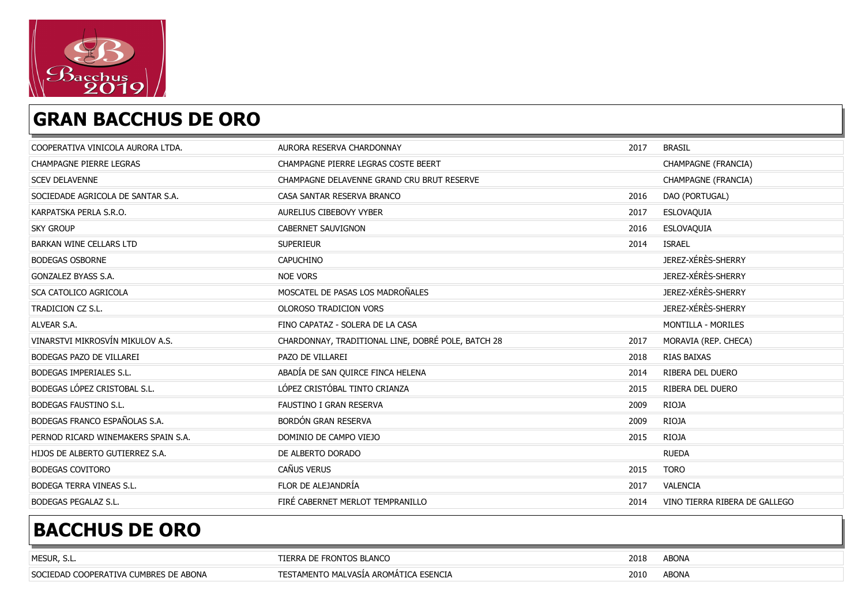

#### GRAN BACCHUS DE ORO

| COOPERATIVA VINICOLA AURORA LTDA.   | AURORA RESERVA CHARDONNAY                          | 2017 | <b>BRASIL</b>                 |
|-------------------------------------|----------------------------------------------------|------|-------------------------------|
| CHAMPAGNE PIERRE LEGRAS             | CHAMPAGNE PIERRE LEGRAS COSTE BEERT                |      | CHAMPAGNE (FRANCIA)           |
| <b>SCEV DELAVENNE</b>               | CHAMPAGNE DELAVENNE GRAND CRU BRUT RESERVE         |      | CHAMPAGNE (FRANCIA)           |
| SOCIEDADE AGRICOLA DE SANTAR S.A.   | CASA SANTAR RESERVA BRANCO                         | 2016 | DAO (PORTUGAL)                |
| KARPATSKA PERLA S.R.O.              | AURELIUS CIBEBOVY VYBER                            | 2017 | ESLOVAQUIA                    |
| <b>SKY GROUP</b>                    | CABERNET SAUVIGNON                                 | 2016 | ESLOVAQUIA                    |
| <b>BARKAN WINE CELLARS LTD</b>      | <b>SUPERIEUR</b>                                   | 2014 | <b>ISRAEL</b>                 |
| <b>BODEGAS OSBORNE</b>              | <b>CAPUCHINO</b>                                   |      | JEREZ-XÉRÈS-SHERRY            |
| GONZALEZ BYASS S.A.                 | NOE VORS                                           |      | JEREZ-XÉRÈS-SHERRY            |
| SCA CATOLICO AGRICOLA               | MOSCATEL DE PASAS LOS MADROÑALES                   |      | JEREZ-XÉRÈS-SHERRY            |
| TRADICION CZ S.L.                   | OLOROSO TRADICION VORS                             |      | JEREZ-XÉRÈS-SHERRY            |
| ALVEAR S.A.                         | FINO CAPATAZ - SOLERA DE LA CASA                   |      | <b>MONTILLA - MORILES</b>     |
| VINARSTVI MIKROSVÍN MIKULOV A.S.    | CHARDONNAY, TRADITIONAL LINE, DOBRÉ POLE, BATCH 28 | 2017 | MORAVIA (REP. CHECA)          |
| BODEGAS PAZO DE VILLAREI            | PAZO DE VILLAREI                                   | 2018 | <b>RIAS BAIXAS</b>            |
| BODEGAS IMPERIALES S.L.             | ABADÍA DE SAN QUIRCE FINCA HELENA                  | 2014 | RIBERA DEL DUERO              |
| BODEGAS LÓPEZ CRISTOBAL S.L.        | LÓPEZ CRISTÓBAL TINTO CRIANZA                      | 2015 | RIBERA DEL DUERO              |
| BODEGAS FAUSTINO S.L.               | FAUSTINO I GRAN RESERVA                            | 2009 | <b>RIOJA</b>                  |
| BODEGAS FRANCO ESPAÑOLAS S.A.       | BORDÓN GRAN RESERVA                                | 2009 | <b>RIOJA</b>                  |
| PERNOD RICARD WINEMAKERS SPAIN S.A. | DOMINIO DE CAMPO VIEJO                             | 2015 | RIOJA                         |
| HIJOS DE ALBERTO GUTIERREZ S.A.     | DE ALBERTO DORADO                                  |      | <b>RUEDA</b>                  |
| <b>BODEGAS COVITORO</b>             | CAÑUS VERUS                                        | 2015 | <b>TORO</b>                   |
| BODEGA TERRA VINEAS S.L.            | FLOR DE ALEJANDRÍA                                 | 2017 | VALENCIA                      |
| <b>BODEGAS PEGALAZ S.L.</b>         | FIRÉ CABERNET MERLOT TEMPRANILLO                   | 2014 | VINO TIERRA RIBERA DE GALLEGO |

| MESUR, S                              | <b>FRONTOS BLANCO</b><br>DE<br>-מט-               | 2018 | <b>ABONA</b> |
|---------------------------------------|---------------------------------------------------|------|--------------|
| SOCIEDAD COOPERATIVA CUMBRES DE ABONA | TO MALVASÍA AROMÁTICA ESENCIA<br><b>FSTAMENTO</b> | 2010 | <b>ABONA</b> |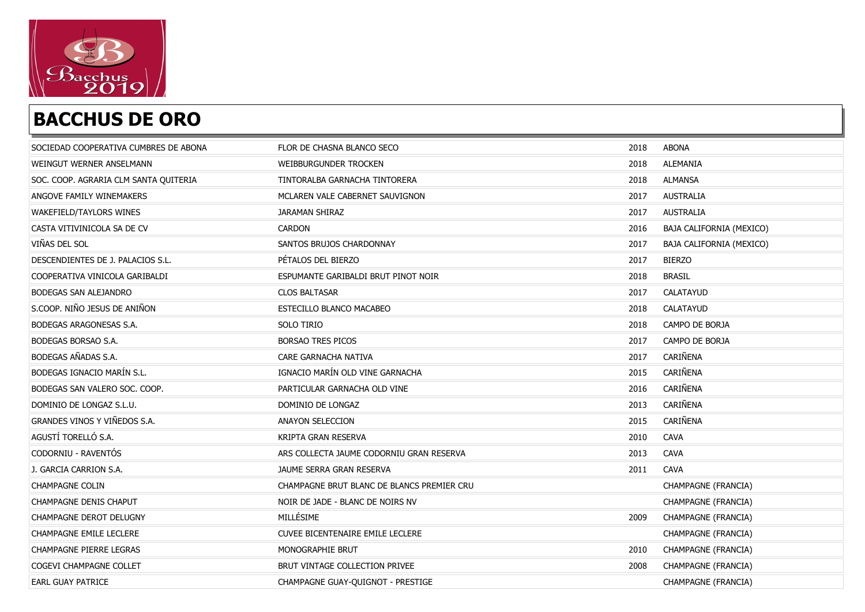

| SOCIEDAD COOPERATIVA CUMBRES DE ABONA | FLOR DE CHASNA BLANCO SECO                 | 2018 | <b>ABONA</b>             |
|---------------------------------------|--------------------------------------------|------|--------------------------|
| WEINGUT WERNER ANSELMANN              | WEIBBURGUNDER TROCKEN                      | 2018 | <b>ALEMANIA</b>          |
| SOC. COOP. AGRARIA CLM SANTA QUITERIA | TINTORALBA GARNACHA TINTORERA              | 2018 | <b>ALMANSA</b>           |
| ANGOVE FAMILY WINEMAKERS              | MCLAREN VALE CABERNET SAUVIGNON            | 2017 | <b>AUSTRALIA</b>         |
| WAKEFIELD/TAYLORS WINES               | <b>JARAMAN SHIRAZ</b>                      | 2017 | <b>AUSTRALIA</b>         |
| CASTA VITIVINICOLA SA DE CV           | <b>CARDON</b>                              | 2016 | BAJA CALIFORNIA (MEXICO) |
| VIÑAS DEL SOL                         | SANTOS BRUJOS CHARDONNAY                   | 2017 | BAJA CALIFORNIA (MEXICO) |
| DESCENDIENTES DE J. PALACIOS S.L.     | PÉTALOS DEL BIERZO                         | 2017 | <b>BIERZO</b>            |
| COOPERATIVA VINICOLA GARIBALDI        | ESPUMANTE GARIBALDI BRUT PINOT NOIR        | 2018 | <b>BRASIL</b>            |
| BODEGAS SAN ALEJANDRO                 | <b>CLOS BALTASAR</b>                       | 2017 | CALATAYUD                |
| S.COOP. NIÑO JESUS DE ANIÑON          | ESTECILLO BLANCO MACABEO                   | 2018 | <b>CALATAYUD</b>         |
| BODEGAS ARAGONESAS S.A.               | SOLO TIRIO                                 | 2018 | CAMPO DE BORJA           |
| BODEGAS BORSAO S.A.                   | <b>BORSAO TRES PICOS</b>                   | 2017 | CAMPO DE BORJA           |
| BODEGAS AÑADAS S.A.                   | CARE GARNACHA NATIVA                       | 2017 | CARIÑENA                 |
| BODEGAS IGNACIO MARÍN S.L.            | IGNACIO MARÍN OLD VINE GARNACHA            | 2015 | CARIÑENA                 |
| BODEGAS SAN VALERO SOC. COOP.         | PARTICULAR GARNACHA OLD VINE               | 2016 | CARIÑENA                 |
| DOMINIO DE LONGAZ S.L.U.              | DOMINIO DE LONGAZ                          | 2013 | CARIÑENA                 |
| <b>GRANDES VINOS Y VIÑEDOS S.A.</b>   | ANAYON SELECCION                           | 2015 | CARIÑENA                 |
| AGUSTÍ TORELLÓ S.A.                   | KRIPTA GRAN RESERVA                        | 2010 | <b>CAVA</b>              |
| CODORNIU - RAVENTÓS                   | ARS COLLECTA JAUME CODORNIU GRAN RESERVA   | 2013 | <b>CAVA</b>              |
| J. GARCIA CARRION S.A.                | JAUME SERRA GRAN RESERVA                   | 2011 | <b>CAVA</b>              |
| <b>CHAMPAGNE COLIN</b>                | CHAMPAGNE BRUT BLANC DE BLANCS PREMIER CRU |      | CHAMPAGNE (FRANCIA)      |
| CHAMPAGNE DENIS CHAPUT                | NOIR DE JADE - BLANC DE NOIRS NV           |      | CHAMPAGNE (FRANCIA)      |
| CHAMPAGNE DEROT DELUGNY               | MILLÉSIME                                  | 2009 | CHAMPAGNE (FRANCIA)      |
| CHAMPAGNE EMILE LECLERE               | <b>CUVEE BICENTENAIRE EMILE LECLERE</b>    |      | CHAMPAGNE (FRANCIA)      |
| CHAMPAGNE PIERRE LEGRAS               | MONOGRAPHIE BRUT                           | 2010 | CHAMPAGNE (FRANCIA)      |
| COGEVI CHAMPAGNE COLLET               | BRUT VINTAGE COLLECTION PRIVEE             | 2008 | CHAMPAGNE (FRANCIA)      |
| <b>EARL GUAY PATRICE</b>              | CHAMPAGNE GUAY-QUIGNOT - PRESTIGE          |      | CHAMPAGNE (FRANCIA)      |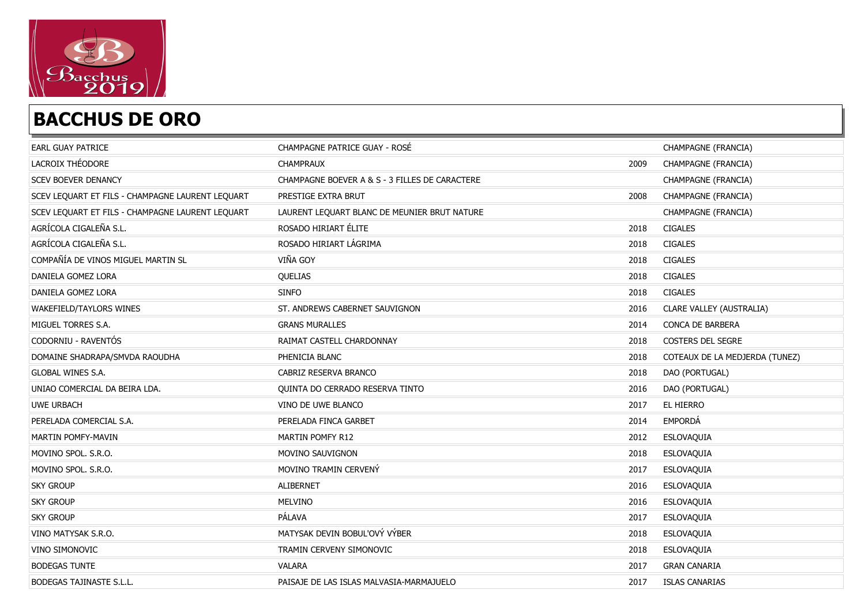

| <b>EARL GUAY PATRICE</b>                         | CHAMPAGNE PATRICE GUAY - ROSÉ                  |      | CHAMPAGNE (FRANCIA)            |
|--------------------------------------------------|------------------------------------------------|------|--------------------------------|
| LACROIX THÉODORE                                 | <b>CHAMPRAUX</b>                               | 2009 | CHAMPAGNE (FRANCIA)            |
| SCEV BOEVER DENANCY                              | CHAMPAGNE BOEVER A & S - 3 FILLES DE CARACTERE |      | CHAMPAGNE (FRANCIA)            |
| SCEV LEQUART ET FILS - CHAMPAGNE LAURENT LEQUART | PRESTIGE EXTRA BRUT                            | 2008 | CHAMPAGNE (FRANCIA)            |
| SCEV LEQUART ET FILS - CHAMPAGNE LAURENT LEQUART | LAURENT LEQUART BLANC DE MEUNIER BRUT NATURE   |      | CHAMPAGNE (FRANCIA)            |
| AGRÍCOLA CIGALEÑA S.L.                           | ROSADO HIRIART ÉLITE                           | 2018 | <b>CIGALES</b>                 |
| AGRÍCOLA CIGALEÑA S.L.                           | ROSADO HIRIART LÁGRIMA                         | 2018 | <b>CIGALES</b>                 |
| COMPAÑÍA DE VINOS MIGUEL MARTIN SL               | VIÑA GOY                                       | 2018 | CIGALES                        |
| DANIELA GOMEZ LORA                               | QUELIAS                                        | 2018 | <b>CIGALES</b>                 |
| DANIELA GOMEZ LORA                               | <b>SINFO</b>                                   | 2018 | <b>CIGALES</b>                 |
| WAKEFIELD/TAYLORS WINES                          | ST. ANDREWS CABERNET SAUVIGNON                 | 2016 | CLARE VALLEY (AUSTRALIA)       |
| MIGUEL TORRES S.A.                               | <b>GRANS MURALLES</b>                          | 2014 | CONCA DE BARBERA               |
| CODORNIU - RAVENTÓS                              | RAIMAT CASTELL CHARDONNAY                      | 2018 | COSTERS DEL SEGRE              |
| DOMAINE SHADRAPA/SMVDA RAOUDHA                   | PHENICIA BLANC                                 | 2018 | COTEAUX DE LA MEDJERDA (TUNEZ) |
| <b>GLOBAL WINES S.A.</b>                         | CABRIZ RESERVA BRANCO                          | 2018 | DAO (PORTUGAL)                 |
| UNIAO COMERCIAL DA BEIRA LDA.                    | QUINTA DO CERRADO RESERVA TINTO                | 2016 | DAO (PORTUGAL)                 |
| <b>UWE URBACH</b>                                | VINO DE UWE BLANCO                             | 2017 | EL HIERRO                      |
| PERELADA COMERCIAL S.A.                          | PERELADA FINCA GARBET                          | 2014 | <b>EMPORDÁ</b>                 |
| MARTIN POMFY-MAVIN                               | MARTIN POMFY R12                               | 2012 | ESLOVAQUIA                     |
| MOVINO SPOL. S.R.O.                              | MOVINO SAUVIGNON                               | 2018 | ESLOVAQUIA                     |
| MOVINO SPOL. S.R.O.                              | MOVINO TRAMIN CERVENÝ                          | 2017 | ESLOVAQUIA                     |
| <b>SKY GROUP</b>                                 | <b>ALIBERNET</b>                               | 2016 | ESLOVAQUIA                     |
| <b>SKY GROUP</b>                                 | MELVINO                                        | 2016 | ESLOVAQUIA                     |
| <b>SKY GROUP</b>                                 | PÁLAVA                                         | 2017 | ESLOVAQUIA                     |
| VINO MATYSAK S.R.O.                              | MATYSAK DEVIN BOBUL'OVÝ VÝBER                  | 2018 | ESLOVAQUIA                     |
| VINO SIMONOVIC                                   | TRAMIN CERVENY SIMONOVIC                       | 2018 | ESLOVAQUIA                     |
| <b>BODEGAS TUNTE</b>                             | <b>VALARA</b>                                  | 2017 | <b>GRAN CANARIA</b>            |
| BODEGAS TAJINASTE S.L.L.                         | PAISAJE DE LAS ISLAS MALVASIA-MARMAJUELO       | 2017 | <b>ISLAS CANARIAS</b>          |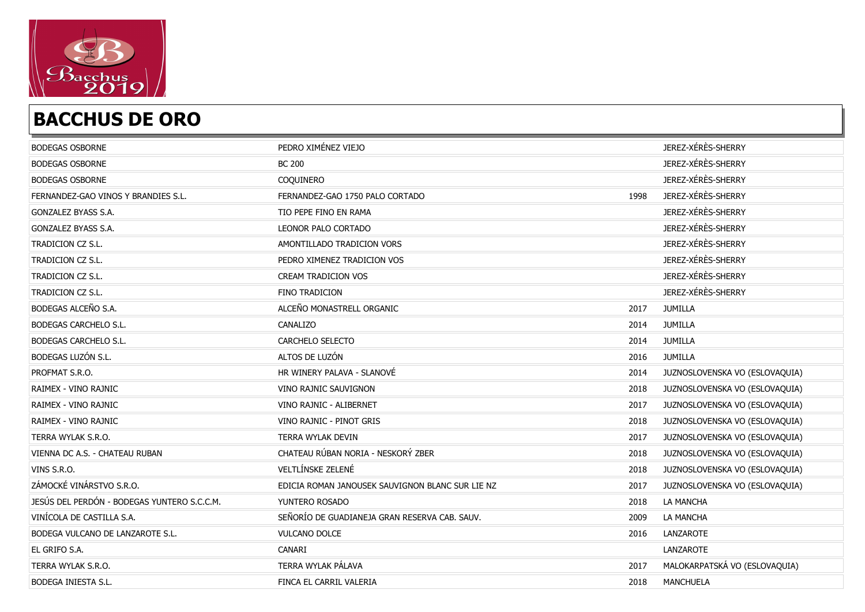

| <b>BODEGAS OSBORNE</b>                      | PEDRO XIMÉNEZ VIEJO                              |      | JEREZ-XÉRÈS-SHERRY             |
|---------------------------------------------|--------------------------------------------------|------|--------------------------------|
| <b>BODEGAS OSBORNE</b>                      | <b>BC 200</b>                                    |      | JEREZ-XÉRÈS-SHERRY             |
| <b>BODEGAS OSBORNE</b>                      | COQUINERO                                        |      | JEREZ-XÉRÈS-SHERRY             |
| FERNANDEZ-GAO VINOS Y BRANDIES S.L.         | FERNANDEZ-GAO 1750 PALO CORTADO                  | 1998 | JEREZ-XÉRÈS-SHERRY             |
| GONZALEZ BYASS S.A.                         | TIO PEPE FINO EN RAMA                            |      | JEREZ-XÉRÈS-SHERRY             |
| GONZALEZ BYASS S.A.                         | LEONOR PALO CORTADO                              |      | JEREZ-XÉRÈS-SHERRY             |
| <b>TRADICION CZ S.L.</b>                    | AMONTILLADO TRADICION VORS                       |      | JEREZ-XÉRÈS-SHERRY             |
| TRADICION CZ S.L.                           | PEDRO XIMENEZ TRADICION VOS                      |      | JEREZ-XÉRÈS-SHERRY             |
| TRADICION CZ S.L.                           | CREAM TRADICION VOS                              |      | JEREZ-XÉRÈS-SHERRY             |
| TRADICION CZ S.L.                           | <b>FINO TRADICION</b>                            |      | JEREZ-XÉRÈS-SHERRY             |
| BODEGAS ALCEÑO S.A.                         | ALCEÑO MONASTRELL ORGANIC                        | 2017 | JUMILLA                        |
| BODEGAS CARCHELO S.L.                       | CANALIZO                                         | 2014 | <b>JUMILLA</b>                 |
| BODEGAS CARCHELO S.L.                       | CARCHELO SELECTO                                 | 2014 | <b>JUMILLA</b>                 |
| BODEGAS LUZÓN S.L.                          | ALTOS DE LUZÓN                                   | 2016 | <b>JUMILLA</b>                 |
| PROFMAT S.R.O.                              | HR WINERY PALAVA - SLANOVÉ                       | 2014 | JUZNOSLOVENSKA VO (ESLOVAQUIA) |
| RAIMEX - VINO RAJNIC                        | VINO RAJNIC SAUVIGNON                            | 2018 | JUZNOSLOVENSKA VO (ESLOVAQUIA) |
| RAIMEX - VINO RAJNIC                        | VINO RAJNIC - ALIBERNET                          | 2017 | JUZNOSLOVENSKA VO (ESLOVAQUIA) |
| RAIMEX - VINO RAJNIC                        | VINO RAJNIC - PINOT GRIS                         | 2018 | JUZNOSLOVENSKA VO (ESLOVAQUIA) |
| TERRA WYLAK S.R.O.                          | <b>TERRA WYLAK DEVIN</b>                         | 2017 | JUZNOSLOVENSKA VO (ESLOVAQUIA) |
| VIENNA DC A.S. - CHATEAU RUBAN              | CHATEAU RÚBAN NORIA - NESKORÝ ZBER               | 2018 | JUZNOSLOVENSKA VO (ESLOVAQUIA) |
| VINS S.R.O.                                 | VELTLÍNSKE ZELENÉ                                | 2018 | JUZNOSLOVENSKA VO (ESLOVAQUIA) |
| ZÁMOCKÉ VINÁRSTVO S.R.O.                    | EDICIA ROMAN JANOUSEK SAUVIGNON BLANC SUR LIE NZ | 2017 | JUZNOSLOVENSKA VO (ESLOVAQUIA) |
| JESÚS DEL PERDÓN - BODEGAS YUNTERO S.C.C.M. | YUNTERO ROSADO                                   | 2018 | LA MANCHA                      |
| VINÍCOLA DE CASTILLA S.A.                   | SEÑORÍO DE GUADIANEJA GRAN RESERVA CAB. SAUV.    | 2009 | LA MANCHA                      |
| BODEGA VULCANO DE LANZAROTE S.L.            | <b>VULCANO DOLCE</b>                             | 2016 | LANZAROTE                      |
| EL GRIFO S.A.                               | CANARI                                           |      | LANZAROTE                      |
| TERRA WYLAK S.R.O.                          | TERRA WYLAK PÁLAVA                               | 2017 | MALOKARPATSKÁ VO (ESLOVAQUIA)  |
| BODEGA INIESTA S.L.                         | FINCA EL CARRIL VALERIA                          | 2018 | <b>MANCHUELA</b>               |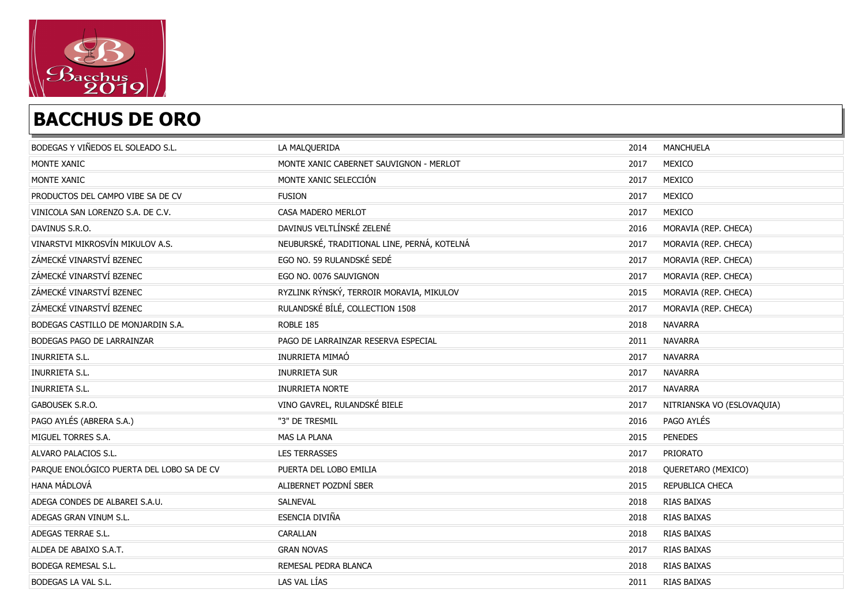

| BODEGAS Y VIÑEDOS EL SOLEADO S.L.         | LA MALQUERIDA                               | 2014 | <b>MANCHUELA</b>           |
|-------------------------------------------|---------------------------------------------|------|----------------------------|
| MONTE XANIC                               | MONTE XANIC CABERNET SAUVIGNON - MERLOT     | 2017 | MEXICO                     |
| MONTE XANIC                               | MONTE XANIC SELECCIÓN                       | 2017 | MEXICO                     |
| PRODUCTOS DEL CAMPO VIBE SA DE CV         | <b>FUSION</b>                               | 2017 | MEXICO                     |
| VINICOLA SAN LORENZO S.A. DE C.V.         | CASA MADERO MERLOT                          | 2017 | MEXICO                     |
| DAVINUS S.R.O.                            | DAVINUS VELTLÍNSKÉ ZELENÉ                   | 2016 | MORAVIA (REP. CHECA)       |
| VINARSTVI MIKROSVÍN MIKULOV A.S.          | NEUBURSKÉ, TRADITIONAL LINE, PERNÁ, KOTELNÁ | 2017 | MORAVIA (REP. CHECA)       |
| ZÁMECKÉ VINARSTVÍ BZENEC                  | EGO NO. 59 RULANDSKÉ SEDÉ                   | 2017 | MORAVIA (REP. CHECA)       |
| ZÁMECKÉ VINARSTVÍ BZENEC                  | EGO NO. 0076 SAUVIGNON                      | 2017 | MORAVIA (REP. CHECA)       |
| ZÁMECKÉ VINARSTVÍ BZENEC                  | RYZLINK RÝNSKÝ, TERROIR MORAVIA, MIKULOV    | 2015 | MORAVIA (REP. CHECA)       |
| ZÁMECKÉ VINARSTVÍ BZENEC                  | RULANDSKÉ BÍLÉ, COLLECTION 1508             | 2017 | MORAVIA (REP. CHECA)       |
| BODEGAS CASTILLO DE MONJARDIN S.A.        | ROBLE 185                                   | 2018 | <b>NAVARRA</b>             |
| BODEGAS PAGO DE LARRAINZAR                | PAGO DE LARRAINZAR RESERVA ESPECIAL         | 2011 | <b>NAVARRA</b>             |
| <b>INURRIETA S.L.</b>                     | INURRIETA MIMAÓ                             | 2017 | <b>NAVARRA</b>             |
| INURRIETA S.L.                            | <b>INURRIETA SUR</b>                        | 2017 | <b>NAVARRA</b>             |
| <b>INURRIETA S.L.</b>                     | <b>INURRIETA NORTE</b>                      | 2017 | <b>NAVARRA</b>             |
| GABOUSEK S.R.O.                           | VINO GAVREL, RULANDSKÉ BIELE                | 2017 | NITRIANSKA VO (ESLOVAQUIA) |
| PAGO AYLÉS (ABRERA S.A.)                  | "3" DE TRESMIL                              | 2016 | PAGO AYLÉS                 |
| MIGUEL TORRES S.A.                        | MAS LA PLANA                                | 2015 | <b>PENEDES</b>             |
| ALVARO PALACIOS S.L.                      | <b>LES TERRASSES</b>                        | 2017 | PRIORATO                   |
| PARQUE ENOLÓGICO PUERTA DEL LOBO SA DE CV | PUERTA DEL LOBO EMILIA                      | 2018 | QUERETARO (MEXICO)         |
| HANA MÁDLOVÁ                              | ALIBERNET POZDNÍ SBER                       | 2015 | REPUBLICA CHECA            |
| ADEGA CONDES DE ALBAREI S.A.U.            | SALNEVAL                                    | 2018 | RIAS BAIXAS                |
| ADEGAS GRAN VINUM S.L.                    | ESENCIA DIVIÑA                              | 2018 | RIAS BAIXAS                |
| ADEGAS TERRAE S.L.                        | CARALLAN                                    | 2018 | RIAS BAIXAS                |
| ALDEA DE ABAIXO S.A.T.                    | <b>GRAN NOVAS</b>                           | 2017 | RIAS BAIXAS                |
| BODEGA REMESAL S.L.                       | REMESAL PEDRA BLANCA                        | 2018 | RIAS BAIXAS                |
| BODEGAS LA VAL S.L.                       | LAS VAL LÍAS                                | 2011 | RIAS BAIXAS                |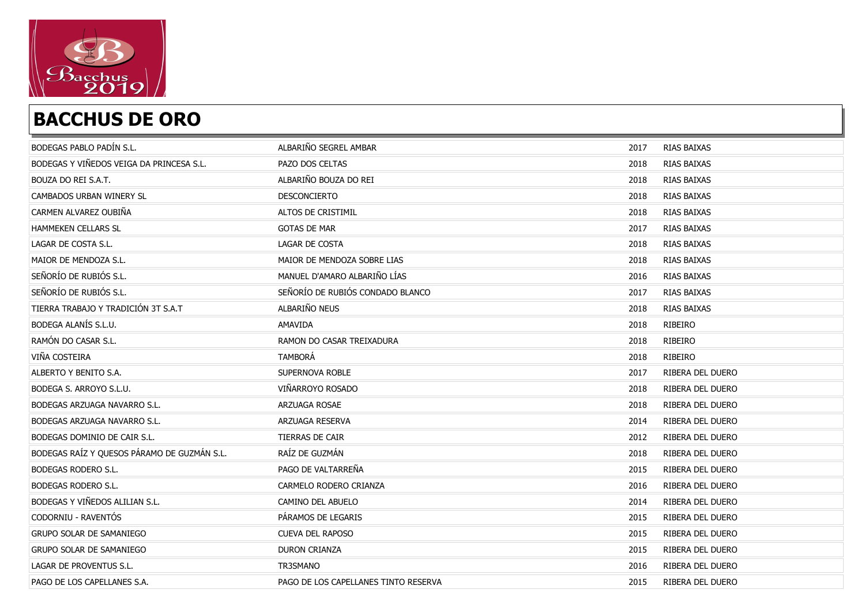

| BODEGAS PABLO PADÍN S.L.                    | ALBARIÑO SEGREL AMBAR                | 2017 | RIAS BAIXAS             |
|---------------------------------------------|--------------------------------------|------|-------------------------|
| BODEGAS Y VIÑEDOS VEIGA DA PRINCESA S.L.    | PAZO DOS CELTAS                      | 2018 | RIAS BAIXAS             |
| BOUZA DO REI S.A.T.                         | ALBARIÑO BOUZA DO REI                | 2018 | RIAS BAIXAS             |
| CAMBADOS URBAN WINERY SL                    | DESCONCIERTO                         | 2018 | RIAS BAIXAS             |
| CARMEN ALVAREZ OUBIÑA                       | ALTOS DE CRISTIMIL                   | 2018 | RIAS BAIXAS             |
| HAMMEKEN CELLARS SL                         | <b>GOTAS DE MAR</b>                  | 2017 | RIAS BAIXAS             |
| LAGAR DE COSTA S.L.                         | LAGAR DE COSTA                       | 2018 | RIAS BAIXAS             |
| MAIOR DE MENDOZA S.L.                       | MAIOR DE MENDOZA SOBRE LIAS          | 2018 | RIAS BAIXAS             |
| SEÑORÍO DE RUBIÓS S.L.                      | MANUEL D'AMARO ALBARIÑO LÍAS         | 2016 | RIAS BAIXAS             |
| SEÑORÍO DE RUBIÓS S.L.                      | SEÑORÍO DE RUBIÓS CONDADO BLANCO     | 2017 | RIAS BAIXAS             |
| TIERRA TRABAJO Y TRADICIÓN 3T S.A.T         | ALBARIÑO NEUS                        | 2018 | RIAS BAIXAS             |
| BODEGA ALANÍS S.L.U.                        | <b>AMAVIDA</b>                       | 2018 | RIBEIRO                 |
| RAMÓN DO CASAR S.L.                         | RAMON DO CASAR TREIXADURA            | 2018 | RIBEIRO                 |
| VIÑA COSTEIRA                               | <b>TAMBORÁ</b>                       | 2018 | <b>RIBEIRO</b>          |
| ALBERTO Y BENITO S.A.                       | SUPERNOVA ROBLE                      | 2017 | RIBERA DEL DUERO        |
| BODEGA S. ARROYO S.L.U.                     | VIÑARROYO ROSADO                     | 2018 | RIBERA DEL DUERO        |
| BODEGAS ARZUAGA NAVARRO S.L.                | ARZUAGA ROSAE                        | 2018 | RIBERA DEL DUERO        |
| BODEGAS ARZUAGA NAVARRO S.L.                | ARZUAGA RESERVA                      | 2014 | RIBERA DEL DUERO        |
| BODEGAS DOMINIO DE CAIR S.L.                | TIERRAS DE CAIR                      | 2012 | RIBERA DEL DUERO        |
| BODEGAS RAÍZ Y QUESOS PÁRAMO DE GUZMÁN S.L. | RAÍZ DE GUZMÁN                       | 2018 | RIBERA DEL DUERO        |
| BODEGAS RODERO S.L.                         | PAGO DE VALTARREÑA                   | 2015 | RIBERA DEL DUERO        |
| BODEGAS RODERO S.L.                         | CARMELO RODERO CRIANZA               | 2016 | RIBERA DEL DUERO        |
| BODEGAS Y VIÑEDOS ALILIAN S.L.              | CAMINO DEL ABUELO                    | 2014 | RIBERA DEL DUERO        |
| CODORNIU - RAVENTÓS                         | PÁRAMOS DE LEGARIS                   | 2015 | <b>RIBERA DEL DUERO</b> |
| <b>GRUPO SOLAR DE SAMANIEGO</b>             | <b>CUEVA DEL RAPOSO</b>              | 2015 | RIBERA DEL DUERO        |
| <b>GRUPO SOLAR DE SAMANIEGO</b>             | <b>DURON CRIANZA</b>                 | 2015 | RIBERA DEL DUERO        |
| LAGAR DE PROVENTUS S.L.                     | <b>TR3SMANO</b>                      | 2016 | RIBERA DEL DUERO        |
| PAGO DE LOS CAPELLANES S.A.                 | PAGO DE LOS CAPELLANES TINTO RESERVA | 2015 | RIBERA DEL DUERO        |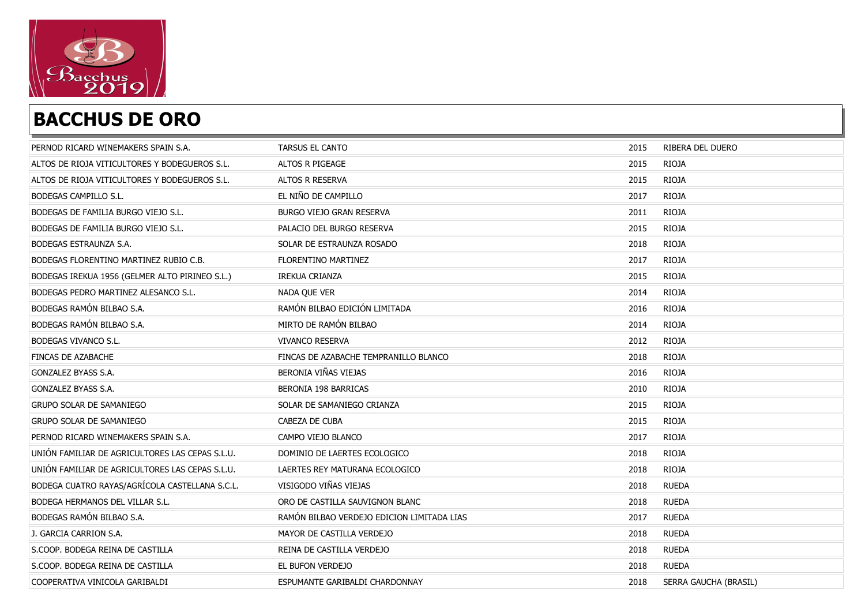

| PERNOD RICARD WINEMAKERS SPAIN S.A.             | <b>TARSUS EL CANTO</b>                     | 2015 | RIBERA DEL DUERO      |
|-------------------------------------------------|--------------------------------------------|------|-----------------------|
| ALTOS DE RIOJA VITICULTORES Y BODEGUEROS S.L.   | ALTOS R PIGEAGE                            | 2015 | <b>RIOJA</b>          |
| ALTOS DE RIOJA VITICULTORES Y BODEGUEROS S.L.   | ALTOS R RESERVA                            | 2015 | <b>RIOJA</b>          |
| BODEGAS CAMPILLO S.L.                           | EL NIÑO DE CAMPILLO                        | 2017 | <b>RIOJA</b>          |
| BODEGAS DE FAMILIA BURGO VIEJO S.L.             | BURGO VIEJO GRAN RESERVA                   | 2011 | <b>RIOJA</b>          |
| BODEGAS DE FAMILIA BURGO VIEJO S.L.             | PALACIO DEL BURGO RESERVA                  | 2015 | <b>RIOJA</b>          |
| BODEGAS ESTRAUNZA S.A.                          | SOLAR DE ESTRAUNZA ROSADO                  | 2018 | <b>RIOJA</b>          |
| BODEGAS FLORENTINO MARTINEZ RUBIO C.B.          | FLORENTINO MARTINEZ                        | 2017 | <b>RIOJA</b>          |
| BODEGAS IREKUA 1956 (GELMER ALTO PIRINEO S.L.)  | <b>IREKUA CRIANZA</b>                      | 2015 | <b>RIOJA</b>          |
| BODEGAS PEDRO MARTINEZ ALESANCO S.L.            | NADA QUE VER                               | 2014 | <b>RIOJA</b>          |
| BODEGAS RAMÓN BILBAO S.A.                       | RAMÓN BILBAO EDICIÓN LIMITADA              | 2016 | <b>RIOJA</b>          |
| BODEGAS RAMÓN BILBAO S.A.                       | MIRTO DE RAMÓN BILBAO                      | 2014 | <b>RIOJA</b>          |
| BODEGAS VIVANCO S.L.                            | <b>VIVANCO RESERVA</b>                     | 2012 | <b>RIOJA</b>          |
| FINCAS DE AZABACHE                              | FINCAS DE AZABACHE TEMPRANILLO BLANCO      | 2018 | <b>RIOJA</b>          |
| GONZALEZ BYASS S.A.                             | BERONIA VIÑAS VIEJAS                       | 2016 | <b>RIOJA</b>          |
| GONZALEZ BYASS S.A.                             | BERONIA 198 BARRICAS                       | 2010 | <b>RIOJA</b>          |
| <b>GRUPO SOLAR DE SAMANIEGO</b>                 | SOLAR DE SAMANIEGO CRIANZA                 | 2015 | <b>RIOJA</b>          |
| <b>GRUPO SOLAR DE SAMANIEGO</b>                 | CABEZA DE CUBA                             | 2015 | <b>RIOJA</b>          |
| PERNOD RICARD WINEMAKERS SPAIN S.A.             | CAMPO VIEJO BLANCO                         | 2017 | <b>RIOJA</b>          |
| UNIÓN FAMILIAR DE AGRICULTORES LAS CEPAS S.L.U. | DOMINIO DE LAERTES ECOLOGICO               | 2018 | <b>RIOJA</b>          |
| UNIÓN FAMILIAR DE AGRICULTORES LAS CEPAS S.L.U. | LAERTES REY MATURANA ECOLOGICO             | 2018 | <b>RIOJA</b>          |
| BODEGA CUATRO RAYAS/AGRÍCOLA CASTELLANA S.C.L.  | VISIGODO VIÑAS VIEJAS                      | 2018 | <b>RUEDA</b>          |
| BODEGA HERMANOS DEL VILLAR S.L.                 | ORO DE CASTILLA SAUVIGNON BLANC            | 2018 | <b>RUEDA</b>          |
| BODEGAS RAMÓN BILBAO S.A.                       | RAMÓN BILBAO VERDEJO EDICION LIMITADA LIAS | 2017 | <b>RUEDA</b>          |
| J. GARCIA CARRION S.A.                          | MAYOR DE CASTILLA VERDEJO                  | 2018 | <b>RUEDA</b>          |
| S.COOP. BODEGA REINA DE CASTILLA                | REINA DE CASTILLA VERDEJO                  | 2018 | <b>RUEDA</b>          |
| S.COOP. BODEGA REINA DE CASTILLA                | EL BUFON VERDEJO                           | 2018 | <b>RUEDA</b>          |
| COOPERATIVA VINICOLA GARIBALDI                  | ESPUMANTE GARIBALDI CHARDONNAY             | 2018 | SERRA GAUCHA (BRASIL) |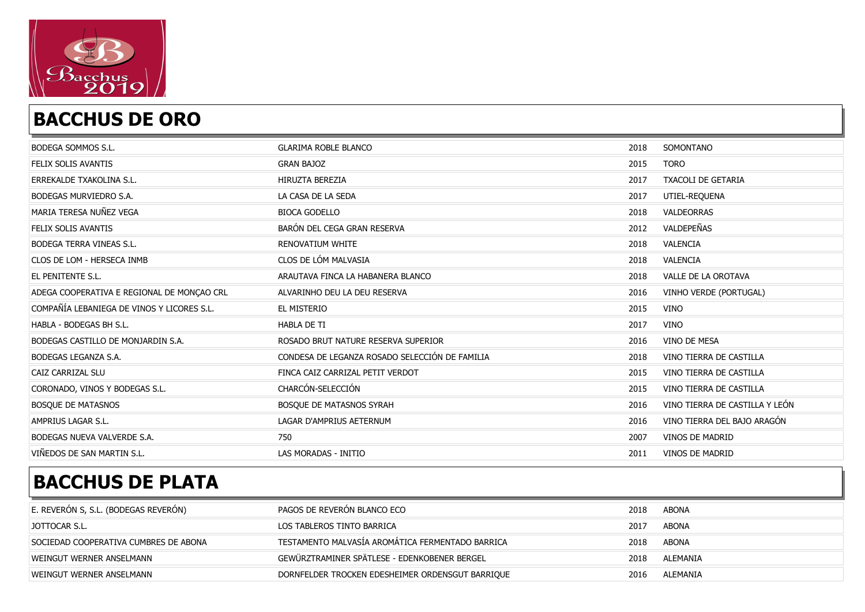

| BODEGA SOMMOS S.L.                         | <b>GLARIMA ROBLE BLANCO</b>                    | 2018 | SOMONTANO                      |
|--------------------------------------------|------------------------------------------------|------|--------------------------------|
| FELIX SOLIS AVANTIS                        | <b>GRAN BAJOZ</b>                              | 2015 | <b>TORO</b>                    |
| ERREKALDE TXAKOLINA S.L.                   | <b>HIRUZTA BEREZIA</b>                         | 2017 | <b>TXACOLI DE GETARIA</b>      |
| BODEGAS MURVIEDRO S.A.                     | LA CASA DE LA SEDA                             | 2017 | UTIEL-REQUENA                  |
| MARIA TERESA NUÑEZ VEGA                    | <b>BIOCA GODELLO</b>                           | 2018 | VALDEORRAS                     |
| FELIX SOLIS AVANTIS                        | BARÓN DEL CEGA GRAN RESERVA                    | 2012 | VALDEPEÑAS                     |
| BODEGA TERRA VINEAS S.L.                   | RENOVATIUM WHITE                               | 2018 | VALENCIA                       |
| CLOS DE LOM - HERSECA INMB                 | CLOS DE LÓM MALVASIA                           | 2018 | VALENCIA                       |
| EL PENITENTE S.L.                          | ARAUTAVA FINCA LA HABANERA BLANCO              | 2018 | VALLE DE LA OROTAVA            |
| ADEGA COOPERATIVA E REGIONAL DE MONÇAO CRL | ALVARINHO DEU LA DEU RESERVA                   | 2016 | VINHO VERDE (PORTUGAL)         |
| COMPAÑÍA LEBANIEGA DE VINOS Y LICORES S.L. | EL MISTERIO                                    | 2015 | <b>VINO</b>                    |
| HABLA - BODEGAS BH S.L.                    | <b>HABLA DE TI</b>                             | 2017 | <b>VINO</b>                    |
| BODEGAS CASTILLO DE MONJARDIN S.A.         | ROSADO BRUT NATURE RESERVA SUPERIOR            | 2016 | VINO DE MESA                   |
| BODEGAS LEGANZA S.A.                       | CONDESA DE LEGANZA ROSADO SELECCIÓN DE FAMILIA | 2018 | VINO TIERRA DE CASTILLA        |
| CAIZ CARRIZAL SLU                          | FINCA CAIZ CARRIZAL PETIT VERDOT               | 2015 | VINO TIERRA DE CASTILLA        |
| CORONADO, VINOS Y BODEGAS S.L.             | CHARCÓN-SELECCIÓN                              | 2015 | VINO TIERRA DE CASTILLA        |
| <b>BOSQUE DE MATASNOS</b>                  | BOSQUE DE MATASNOS SYRAH                       | 2016 | VINO TIERRA DE CASTILLA Y LEÓN |
| AMPRIUS LAGAR S.L.                         | LAGAR D'AMPRIUS AETERNUM                       | 2016 | VINO TIERRA DEL BAJO ARAGÓN    |
| BODEGAS NUEVA VALVERDE S.A.                | 750                                            | 2007 | VINOS DE MADRID                |
| VIÑEDOS DE SAN MARTIN S.L.                 | LAS MORADAS - INITIO                           | 2011 | <b>VINOS DE MADRID</b>         |

| E. REVERON S, S.L. (BODEGAS REVERON)  | PAGOS DE REVERÓN BLANCO ECO                      | 2018 | ABONA    |
|---------------------------------------|--------------------------------------------------|------|----------|
| JOTTOCAR S.L.                         | LOS TABLEROS TINTO BARRICA                       | 2017 | ABONA    |
| SOCIEDAD COOPERATIVA CUMBRES DE ABONA | TESTAMENTO MALVASÍA AROMÁTICA FERMENTADO BARRICA | 2018 | ABONA    |
| WEINGUT WERNER ANSELMANN              | GEWÜRZTRAMINER SPÄTLESE - EDENKOBENER BERGEL     | 2018 | ALEMANIA |
| WEINGUT WERNER ANSELMANN              | DORNFELDER TROCKEN EDESHEIMER ORDENSGUT BARRIQUE | 2016 | ALEMANIA |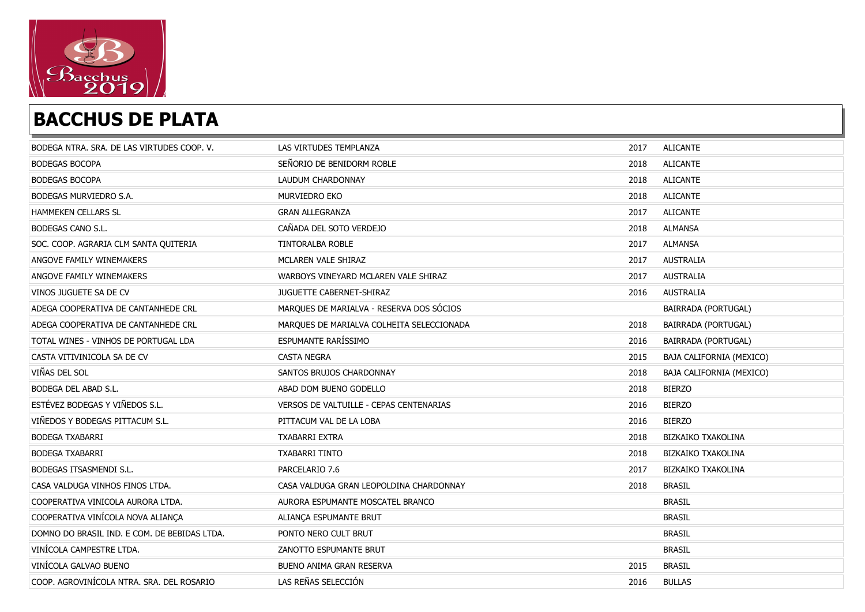

| BODEGA NTRA, SRA, DE LAS VIRTUDES COOP, V.   | LAS VIRTUDES TEMPLANZA                    | 2017 | <b>ALICANTE</b>            |
|----------------------------------------------|-------------------------------------------|------|----------------------------|
| <b>BODEGAS BOCOPA</b>                        | SEÑORIO DE BENIDORM ROBLE                 | 2018 | <b>ALICANTE</b>            |
| <b>BODEGAS BOCOPA</b>                        | LAUDUM CHARDONNAY                         | 2018 | <b>ALICANTE</b>            |
| BODEGAS MURVIEDRO S.A.                       | MURVIEDRO EKO                             | 2018 | <b>ALICANTE</b>            |
| HAMMEKEN CELLARS SL                          | <b>GRAN ALLEGRANZA</b>                    | 2017 | <b>ALICANTE</b>            |
| BODEGAS CANO S.L.                            | CAÑADA DEL SOTO VERDEJO                   | 2018 | <b>ALMANSA</b>             |
| SOC. COOP. AGRARIA CLM SANTA QUITERIA        | TINTORALBA ROBLE                          | 2017 | <b>ALMANSA</b>             |
| ANGOVE FAMILY WINEMAKERS                     | MCLAREN VALE SHIRAZ                       | 2017 | <b>AUSTRALIA</b>           |
| ANGOVE FAMILY WINEMAKERS                     | WARBOYS VINEYARD MCLAREN VALE SHIRAZ      | 2017 | <b>AUSTRALIA</b>           |
| VINOS JUGUETE SA DE CV                       | JUGUETTE CABERNET-SHIRAZ                  | 2016 | <b>AUSTRALIA</b>           |
| ADEGA COOPERATIVA DE CANTANHEDE CRL          | MARQUES DE MARIALVA - RESERVA DOS SÓCIOS  |      | <b>BAIRRADA (PORTUGAL)</b> |
| ADEGA COOPERATIVA DE CANTANHEDE CRL          | MARQUES DE MARIALVA COLHEITA SELECCIONADA | 2018 | BAIRRADA (PORTUGAL)        |
| TOTAL WINES - VINHOS DE PORTUGAL LDA         | ESPUMANTE RARÍSSIMO                       | 2016 | BAIRRADA (PORTUGAL)        |
| CASTA VITIVINICOLA SA DE CV                  | <b>CASTA NEGRA</b>                        | 2015 | BAJA CALIFORNIA (MEXICO)   |
| VIÑAS DEL SOL                                | SANTOS BRUJOS CHARDONNAY                  | 2018 | BAJA CALIFORNIA (MEXICO)   |
| <b>BODEGA DEL ABAD S.L.</b>                  | ABAD DOM BUENO GODELLO                    | 2018 | <b>BIERZO</b>              |
| ESTÉVEZ BODEGAS Y VIÑEDOS S.L.               | VERSOS DE VALTUILLE - CEPAS CENTENARIAS   | 2016 | <b>BIERZO</b>              |
| VIÑEDOS Y BODEGAS PITTACUM S.L.              | PITTACUM VAL DE LA LOBA                   | 2016 | <b>BIERZO</b>              |
| <b>BODEGA TXABARRI</b>                       | TXABARRI EXTRA                            | 2018 | <b>BIZKAIKO TXAKOLINA</b>  |
| <b>BODEGA TXABARRI</b>                       | <b>TXABARRI TINTO</b>                     | 2018 | BIZKAIKO TXAKOLINA         |
| BODEGAS ITSASMENDI S.L.                      | PARCELARIO 7.6                            | 2017 | <b>BIZKAIKO TXAKOLINA</b>  |
| CASA VALDUGA VINHOS FINOS LTDA.              | CASA VALDUGA GRAN LEOPOLDINA CHARDONNAY   | 2018 | <b>BRASIL</b>              |
| COOPERATIVA VINICOLA AURORA LTDA.            | AURORA ESPUMANTE MOSCATEL BRANCO          |      | <b>BRASIL</b>              |
| COOPERATIVA VINÍCOLA NOVA ALIANÇA            | ALIANÇA ESPUMANTE BRUT                    |      | <b>BRASIL</b>              |
| DOMNO DO BRASIL IND. E COM. DE BEBIDAS LTDA. | PONTO NERO CULT BRUT                      |      | <b>BRASIL</b>              |
| VINÍCOLA CAMPESTRE LTDA.                     | ZANOTTO ESPUMANTE BRUT                    |      | <b>BRASIL</b>              |
| VINÍCOLA GALVAO BUENO                        | BUENO ANIMA GRAN RESERVA                  | 2015 | <b>BRASIL</b>              |
| COOP. AGROVINÍCOLA NTRA. SRA. DEL ROSARIO    | LAS REÑAS SELECCIÓN                       | 2016 | <b>BULLAS</b>              |
|                                              |                                           |      |                            |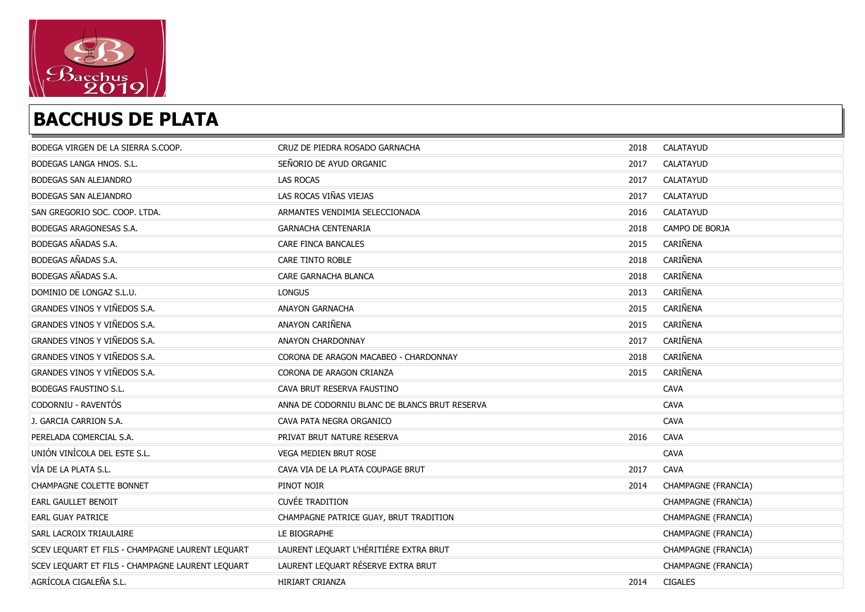

| BODEGA VIRGEN DE LA SIERRA S.COOP.               | CRUZ DE PIEDRA ROSADO GARNACHA                | 2018 | CALATAYUD           |
|--------------------------------------------------|-----------------------------------------------|------|---------------------|
| BODEGAS LANGA HNOS, S.L.                         | SEÑORIO DE AYUD ORGANIC                       | 2017 | CALATAYUD           |
| BODEGAS SAN ALEJANDRO                            | LAS ROCAS                                     | 2017 | CALATAYUD           |
| BODEGAS SAN ALEJANDRO                            | LAS ROCAS VIÑAS VIEJAS                        | 2017 | CALATAYUD           |
| SAN GREGORIO SOC. COOP. LTDA.                    | ARMANTES VENDIMIA SELECCIONADA                | 2016 | CALATAYUD           |
| BODEGAS ARAGONESAS S.A.                          | <b>GARNACHA CENTENARIA</b>                    | 2018 | CAMPO DE BORJA      |
| BODEGAS AÑADAS S.A.                              | CARE FINCA BANCALES                           | 2015 | CARIÑENA            |
| BODEGAS AÑADAS S.A.                              | CARE TINTO ROBLE                              | 2018 | CARIÑENA            |
| BODEGAS AÑADAS S.A.                              | CARE GARNACHA BLANCA                          | 2018 | CARIÑENA            |
| DOMINIO DE LONGAZ S.L.U.                         | <b>LONGUS</b>                                 | 2013 | CARIÑENA            |
| GRANDES VINOS Y VIÑEDOS S.A.                     | <b>ANAYON GARNACHA</b>                        | 2015 | CARIÑENA            |
| GRANDES VINOS Y VIÑEDOS S.A.                     | ANAYON CARIÑENA                               | 2015 | CARIÑENA            |
| GRANDES VINOS Y VIÑEDOS S.A.                     | ANAYON CHARDONNAY                             | 2017 | CARIÑENA            |
| GRANDES VINOS Y VIÑEDOS S.A.                     | CORONA DE ARAGON MACABEO - CHARDONNAY         | 2018 | CARIÑENA            |
| GRANDES VINOS Y VIÑEDOS S.A.                     | CORONA DE ARAGON CRIANZA                      | 2015 | CARIÑENA            |
| BODEGAS FAUSTINO S.L.                            | CAVA BRUT RESERVA FAUSTINO                    |      | CAVA                |
| CODORNIU - RAVENTÓS                              | ANNA DE CODORNIU BLANC DE BLANCS BRUT RESERVA |      | <b>CAVA</b>         |
| J. GARCIA CARRION S.A.                           | CAVA PATA NEGRA ORGANICO                      |      | <b>CAVA</b>         |
| PERELADA COMERCIAL S.A.                          | PRIVAT BRUT NATURE RESERVA                    | 2016 | <b>CAVA</b>         |
| UNIÓN VINÍCOLA DEL ESTE S.L.                     | VEGA MEDIEN BRUT ROSE                         |      | CAVA                |
| VÍA DE LA PLATA S.L.                             | CAVA VIA DE LA PLATA COUPAGE BRUT             | 2017 | <b>CAVA</b>         |
| CHAMPAGNE COLETTE BONNET                         | PINOT NOIR                                    | 2014 | CHAMPAGNE (FRANCIA) |
| EARL GAULLET BENOIT                              | <b>CUVÉE TRADITION</b>                        |      | CHAMPAGNE (FRANCIA) |
| <b>EARL GUAY PATRICE</b>                         | CHAMPAGNE PATRICE GUAY, BRUT TRADITION        |      | CHAMPAGNE (FRANCIA) |
| SARL LACROIX TRIAULAIRE                          | LE BIOGRAPHE                                  |      | CHAMPAGNE (FRANCIA) |
| SCEV LEQUART ET FILS - CHAMPAGNE LAURENT LEQUART | LAURENT LEQUART L'HÉRITIÉRE EXTRA BRUT        |      | CHAMPAGNE (FRANCIA) |
| SCEV LEQUART ET FILS - CHAMPAGNE LAURENT LEQUART | LAURENT LEQUART RÉSERVE EXTRA BRUT            |      | CHAMPAGNE (FRANCIA) |
| AGRÍCOLA CIGALEÑA S.L.                           | HIRIART CRIANZA                               | 2014 | <b>CIGALES</b>      |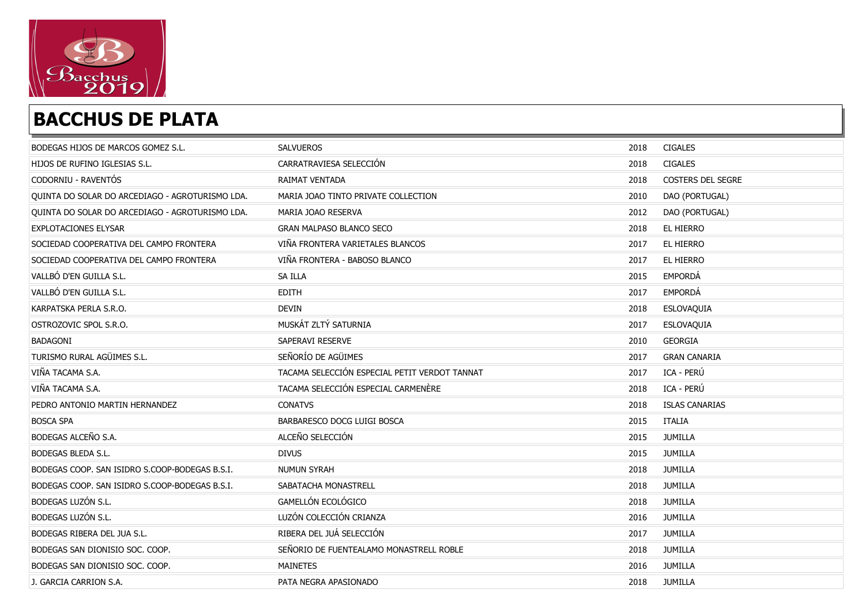

| BODEGAS HIJOS DE MARCOS GOMEZ S.L.              | <b>SALVUEROS</b>                              | 2018 | <b>CIGALES</b>        |
|-------------------------------------------------|-----------------------------------------------|------|-----------------------|
| HIJOS DE RUFINO IGLESIAS S.L.                   | CARRATRAVIESA SELECCIÓN                       | 2018 | <b>CIGALES</b>        |
| CODORNIU - RAVENTÓS                             | <b>RAIMAT VENTADA</b>                         | 2018 | COSTERS DEL SEGRE     |
| QUINTA DO SOLAR DO ARCEDIAGO - AGROTURISMO LDA. | MARIA JOAO TINTO PRIVATE COLLECTION           | 2010 | DAO (PORTUGAL)        |
| QUINTA DO SOLAR DO ARCEDIAGO - AGROTURISMO LDA. | MARIA JOAO RESERVA                            | 2012 | DAO (PORTUGAL)        |
| <b>EXPLOTACIONES ELYSAR</b>                     | <b>GRAN MALPASO BLANCO SECO</b>               | 2018 | EL HIERRO             |
| SOCIEDAD COOPERATIVA DEL CAMPO FRONTERA         | VIÑA FRONTERA VARIETALES BLANCOS              | 2017 | EL HIERRO             |
| SOCIEDAD COOPERATIVA DEL CAMPO FRONTERA         | VIÑA FRONTERA - BABOSO BLANCO                 | 2017 | EL HIERRO             |
| VALLBÓ D'EN GUILLA S.L.                         | SA ILLA                                       | 2015 | EMPORDÁ               |
| VALLBÓ D'EN GUILLA S.L.                         | <b>EDITH</b>                                  | 2017 | EMPORDÁ               |
| KARPATSKA PERLA S.R.O.                          | <b>DEVIN</b>                                  | 2018 | ESLOVAQUIA            |
| OSTROZOVIC SPOL S.R.O.                          | MUSKÁT ZLTÝ SATURNIA                          | 2017 | ESLOVAQUIA            |
| <b>BADAGONI</b>                                 | SAPERAVI RESERVE                              | 2010 | <b>GEORGIA</b>        |
| TURISMO RURAL AGÜIMES S.L.                      | SEÑORÍO DE AGÜIMES                            | 2017 | <b>GRAN CANARIA</b>   |
| VIÑA TACAMA S.A.                                | TACAMA SELECCIÓN ESPECIAL PETIT VERDOT TANNAT | 2017 | ICA - PERÚ            |
| VIÑA TACAMA S.A.                                | TACAMA SELECCIÓN ESPECIAL CARMENÈRE           | 2018 | ICA - PERÚ            |
| PEDRO ANTONIO MARTIN HERNANDEZ                  | <b>CONATVS</b>                                | 2018 | <b>ISLAS CANARIAS</b> |
| <b>BOSCA SPA</b>                                | BARBARESCO DOCG LUIGI BOSCA                   | 2015 | <b>ITALIA</b>         |
| BODEGAS ALCEÑO S.A.                             | ALCEÑO SELECCIÓN                              | 2015 | <b>JUMILLA</b>        |
| <b>BODEGAS BLEDA S.L.</b>                       | <b>DIVUS</b>                                  | 2015 | <b>JUMILLA</b>        |
| BODEGAS COOP. SAN ISIDRO S.COOP-BODEGAS B.S.I.  | <b>NUMUN SYRAH</b>                            | 2018 | JUMILLA               |
| BODEGAS COOP. SAN ISIDRO S.COOP-BODEGAS B.S.I.  | SABATACHA MONASTRELL                          | 2018 | <b>JUMILLA</b>        |
| BODEGAS LUZÓN S.L.                              | GAMELLÓN ECOLÓGICO                            | 2018 | <b>JUMILLA</b>        |
| BODEGAS LUZÓN S.L.                              | LUZÓN COLECCIÓN CRIANZA                       | 2016 | <b>JUMILLA</b>        |
| BODEGAS RIBERA DEL JUA S.L.                     | RIBERA DEL JUÁ SELECCIÓN                      | 2017 | JUMILLA               |
| BODEGAS SAN DIONISIO SOC. COOP.                 | SEÑORIO DE FUENTEALAMO MONASTRELL ROBLE       | 2018 | <b>JUMILLA</b>        |
| BODEGAS SAN DIONISIO SOC. COOP.                 | <b>MAINETES</b>                               | 2016 | <b>JUMILLA</b>        |
| J. GARCIA CARRION S.A.                          | PATA NEGRA APASIONADO                         | 2018 | JUMILLA               |
|                                                 |                                               |      |                       |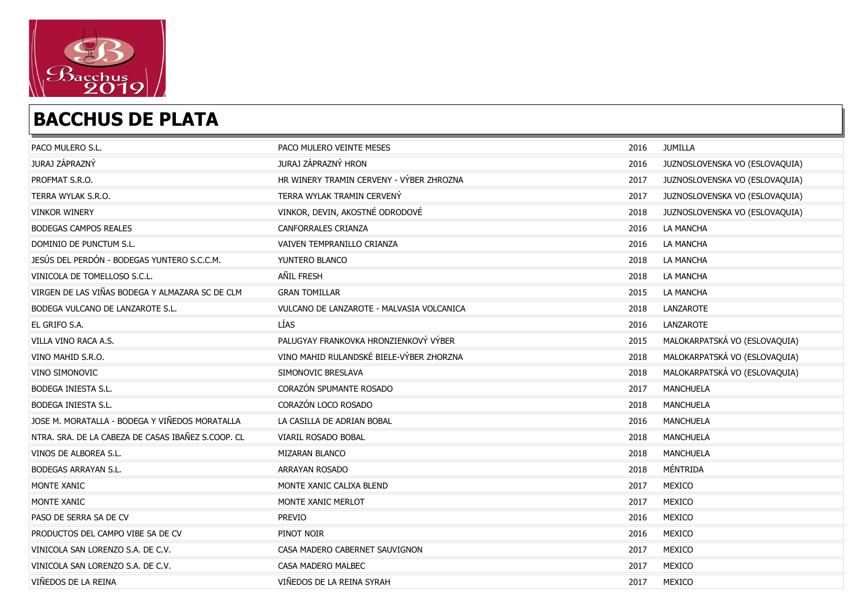

| PACO MULERO S.L.                                   | PACO MULERO VEINTE MESES                  | 2016 | JUMILLA                        |
|----------------------------------------------------|-------------------------------------------|------|--------------------------------|
| JURAJ ZÁPRAZNÝ                                     | JURAJ ZÁPRAZNÝ HRON                       | 2016 | JUZNOSLOVENSKA VO (ESLOVAQUIA) |
| PROFMAT S.R.O.                                     | HR WINERY TRAMIN CERVENY - VÝBER ZHROZNA  | 2017 | JUZNOSLOVENSKA VO (ESLOVAQUIA) |
| TERRA WYLAK S.R.O.                                 | TERRA WYLAK TRAMIN CERVENY                | 2017 | JUZNOSLOVENSKA VO (ESLOVAQUIA) |
| <b>VINKOR WINERY</b>                               | VINKOR, DEVIN, AKOSTNÉ ODRODOVÉ           | 2018 | JUZNOSLOVENSKA VO (ESLOVAQUIA) |
| <b>BODEGAS CAMPOS REALES</b>                       | <b>CANFORRALES CRIANZA</b>                | 2016 | <b>LA MANCHA</b>               |
| DOMINIO DE PUNCTUM S.L.                            | VAIVEN TEMPRANILLO CRIANZA                | 2016 | LA MANCHA                      |
| JESÚS DEL PERDÓN - BODEGAS YUNTERO S.C.C.M.        | YUNTERO BLANCO                            | 2018 | LA MANCHA                      |
| VINICOLA DE TOMELLOSO S.C.L.                       | AÑIL FRESH                                | 2018 | LA MANCHA                      |
| VIRGEN DE LAS VIÑAS BODEGA Y ALMAZARA SC DE CLM    | <b>GRAN TOMILLAR</b>                      | 2015 | LA MANCHA                      |
| BODEGA VULCANO DE LANZAROTE S.L.                   | VULCANO DE LANZAROTE - MALVASIA VOLCANICA | 2018 | LANZAROTE                      |
| EL GRIFO S.A.                                      | LÍAS                                      | 2016 | LANZAROTE                      |
| VILLA VINO RACA A.S.                               | PALUGYAY FRANKOVKA HRONZIENKOVÝ VÝBER     | 2015 | MALOKARPATSKÁ VO (ESLOVAQUIA)  |
| VINO MAHID S.R.O.                                  | VINO MAHID RULANDSKÉ BIELE-VÝBER ZHORZNA  | 2018 | MALOKARPATSKÁ VO (ESLOVAQUIA)  |
| VINO SIMONOVIC                                     | SIMONOVIC BRESLAVA                        | 2018 | MALOKARPATSKÁ VO (ESLOVAQUIA)  |
| BODEGA INIESTA S.L.                                | CORAZÓN SPUMANTE ROSADO                   | 2017 | <b>MANCHUELA</b>               |
| <b>BODEGA INIESTA S.L.</b>                         | CORAZÓN LOCO ROSADO                       | 2018 | <b>MANCHUELA</b>               |
| JOSE M. MORATALLA - BODEGA Y VIÑEDOS MORATALLA     | LA CASILLA DE ADRIAN BOBAL                | 2016 | MANCHUELA                      |
| NTRA. SRA. DE LA CABEZA DE CASAS IBAÑEZ S.COOP. CL | VIARIL ROSADO BOBAL                       | 2018 | <b>MANCHUELA</b>               |
| VINOS DE ALBOREA S.L.                              | MIZARAN BLANCO                            | 2018 | <b>MANCHUELA</b>               |
| <b>BODEGAS ARRAYAN S.L.</b>                        | ARRAYAN ROSADO                            | 2018 | MÉNTRIDA                       |
| MONTE XANIC                                        | MONTE XANIC CALIXA BLEND                  | 2017 | MEXICO                         |
| MONTE XANIC                                        | MONTE XANIC MERLOT                        | 2017 | MEXICO                         |
| PASO DE SERRA SA DE CV                             | <b>PREVIO</b>                             | 2016 | MEXICO                         |
| PRODUCTOS DEL CAMPO VIBE SA DE CV                  | PINOT NOIR                                | 2016 | MEXICO                         |
| VINICOLA SAN LORENZO S.A. DE C.V.                  | CASA MADERO CABERNET SAUVIGNON            | 2017 | MEXICO                         |
| VINICOLA SAN LORENZO S.A. DE C.V.                  | CASA MADERO MALBEC                        | 2017 | MEXICO                         |
| VIÑEDOS DE LA REINA                                | VIÑEDOS DE LA REINA SYRAH                 | 2017 | MEXICO                         |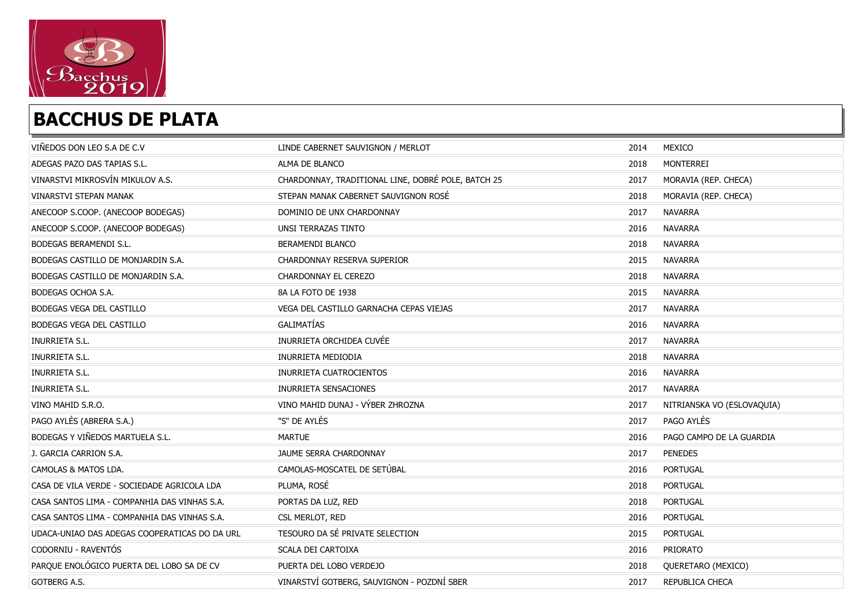

| VIÑEDOS DON LEO S.A DE C.V                    | LINDE CABERNET SAUVIGNON / MERLOT                  | 2014 | MEXICO                     |
|-----------------------------------------------|----------------------------------------------------|------|----------------------------|
| ADEGAS PAZO DAS TAPIAS S.L.                   | ALMA DE BLANCO                                     | 2018 | MONTERREI                  |
| VINARSTVI MIKROSVÍN MIKULOV A.S.              | CHARDONNAY, TRADITIONAL LINE, DOBRÉ POLE, BATCH 25 | 2017 | MORAVIA (REP. CHECA)       |
| <b>VINARSTVI STEPAN MANAK</b>                 | STEPAN MANAK CABERNET SAUVIGNON ROSÉ               | 2018 | MORAVIA (REP. CHECA)       |
| ANECOOP S.COOP. (ANECOOP BODEGAS)             | DOMINIO DE UNX CHARDONNAY                          | 2017 | <b>NAVARRA</b>             |
| ANECOOP S.COOP. (ANECOOP BODEGAS)             | UNSI TERRAZAS TINTO                                | 2016 | <b>NAVARRA</b>             |
| BODEGAS BERAMENDI S.L.                        | BERAMENDI BLANCO                                   | 2018 | <b>NAVARRA</b>             |
| BODEGAS CASTILLO DE MONJARDIN S.A.            | CHARDONNAY RESERVA SUPERIOR                        | 2015 | <b>NAVARRA</b>             |
| BODEGAS CASTILLO DE MONJARDIN S.A.            | CHARDONNAY EL CEREZO                               | 2018 | <b>NAVARRA</b>             |
| BODEGAS OCHOA S.A.                            | 8A LA FOTO DE 1938                                 | 2015 | <b>NAVARRA</b>             |
| BODEGAS VEGA DEL CASTILLO                     | VEGA DEL CASTILLO GARNACHA CEPAS VIEJAS            | 2017 | <b>NAVARRA</b>             |
| BODEGAS VEGA DEL CASTILLO                     | GALIMATÍAS                                         | 2016 | <b>NAVARRA</b>             |
| INURRIETA S.L.                                | INURRIETA ORCHIDEA CUVÉE                           | 2017 | <b>NAVARRA</b>             |
| INURRIETA S.L.                                | INURRIETA MEDIODIA                                 | 2018 | <b>NAVARRA</b>             |
| INURRIETA S.L.                                | INURRIETA CUATROCIENTOS                            | 2016 | <b>NAVARRA</b>             |
| INURRIETA S.L.                                | INURRIETA SENSACIONES                              | 2017 | <b>NAVARRA</b>             |
| VINO MAHID S.R.O.                             | VINO MAHID DUNAJ - VÝBER ZHROZNA                   | 2017 | NITRIANSKA VO (ESLOVAQUIA) |
| PAGO AYLÉS (ABRERA S.A.)                      | "S" DE AYLÉS                                       | 2017 | PAGO AYLÉS                 |
| BODEGAS Y VIÑEDOS MARTUELA S.L.               | <b>MARTUE</b>                                      | 2016 | PAGO CAMPO DE LA GUARDIA   |
| J. GARCIA CARRION S.A.                        | JAUME SERRA CHARDONNAY                             | 2017 | <b>PENEDES</b>             |
| CAMOLAS & MATOS LDA.                          | CAMOLAS-MOSCATEL DE SETÚBAL                        | 2016 | PORTUGAL                   |
| CASA DE VILA VERDE - SOCIEDADE AGRICOLA LDA   | PLUMA, ROSÉ                                        | 2018 | <b>PORTUGAL</b>            |
| CASA SANTOS LIMA - COMPANHIA DAS VINHAS S.A.  | PORTAS DA LUZ, RED                                 | 2018 | <b>PORTUGAL</b>            |
| CASA SANTOS LIMA - COMPANHIA DAS VINHAS S.A.  | CSL MERLOT, RED                                    | 2016 | <b>PORTUGAL</b>            |
| UDACA-UNIAO DAS ADEGAS COOPERATICAS DO DA URL | TESOURO DA SÉ PRIVATE SELECTION                    | 2015 | <b>PORTUGAL</b>            |
| CODORNIU - RAVENTÓS                           | SCALA DEI CARTOIXA                                 | 2016 | PRIORATO                   |
| PARQUE ENOLÓGICO PUERTA DEL LOBO SA DE CV     | PUERTA DEL LOBO VERDEJO                            | 2018 | QUERETARO (MEXICO)         |
| GOTBERG A.S.                                  | VINARSTVÍ GOTBERG, SAUVIGNON - POZDNÍ SBER         | 2017 | REPUBLICA CHECA            |
|                                               |                                                    |      |                            |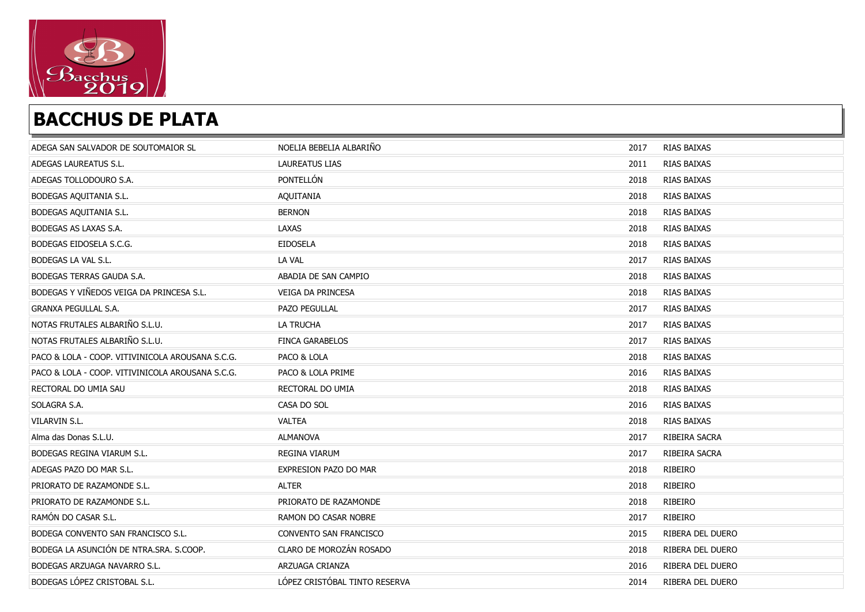

| ADEGA SAN SALVADOR DE SOUTOMAIOR SL              | NOELIA BEBELIA ALBARIÑO       | 2017 | RIAS BAIXAS        |
|--------------------------------------------------|-------------------------------|------|--------------------|
| ADEGAS LAUREATUS S.L.                            | <b>LAUREATUS LIAS</b>         | 2011 | RIAS BAIXAS        |
| ADEGAS TOLLODOURO S.A.                           | PONTELLÓN                     | 2018 | RIAS BAIXAS        |
| BODEGAS AQUITANIA S.L.                           | AQUITANIA                     | 2018 | RIAS BAIXAS        |
| BODEGAS AQUITANIA S.L.                           | <b>BERNON</b>                 | 2018 | RIAS BAIXAS        |
| BODEGAS AS LAXAS S.A.                            | LAXAS                         | 2018 | RIAS BAIXAS        |
| BODEGAS EIDOSELA S.C.G.                          | <b>EIDOSELA</b>               | 2018 | RIAS BAIXAS        |
| BODEGAS LA VAL S.L.                              | LA VAL                        | 2017 | RIAS BAIXAS        |
| <b>BODEGAS TERRAS GAUDA S.A.</b>                 | ABADIA DE SAN CAMPIO          | 2018 | RIAS BAIXAS        |
| BODEGAS Y VIÑEDOS VEIGA DA PRINCESA S.L.         | VEIGA DA PRINCESA             | 2018 | RIAS BAIXAS        |
| <b>GRANXA PEGULLAL S.A.</b>                      | PAZO PEGULLAL                 | 2017 | RIAS BAIXAS        |
| NOTAS FRUTALES ALBARIÑO S.L.U.                   | LA TRUCHA                     | 2017 | RIAS BAIXAS        |
| NOTAS FRUTALES ALBARIÑO S.L.U.                   | <b>FINCA GARABELOS</b>        | 2017 | RIAS BAIXAS        |
| PACO & LOLA - COOP. VITIVINICOLA AROUSANA S.C.G. | PACO & LOLA                   | 2018 | RIAS BAIXAS        |
| PACO & LOLA - COOP. VITIVINICOLA AROUSANA S.C.G. | PACO & LOLA PRIME             | 2016 | RIAS BAIXAS        |
| RECTORAL DO UMIA SAU                             | RECTORAL DO UMIA              | 2018 | RIAS BAIXAS        |
| SOLAGRA S.A.                                     | CASA DO SOL                   | 2016 | RIAS BAIXAS        |
| <b>VILARVIN S.L.</b>                             | <b>VALTEA</b>                 | 2018 | <b>RIAS BAIXAS</b> |
| Alma das Donas S.L.U.                            | <b>ALMANOVA</b>               | 2017 | RIBEIRA SACRA      |
| <b>BODEGAS REGINA VIARUM S.L.</b>                | REGINA VIARUM                 | 2017 | RIBEIRA SACRA      |
| ADEGAS PAZO DO MAR S.L.                          | EXPRESION PAZO DO MAR         | 2018 | RIBEIRO            |
| PRIORATO DE RAZAMONDE S.L.                       | <b>ALTER</b>                  | 2018 | RIBEIRO            |
| PRIORATO DE RAZAMONDE S.L.                       | PRIORATO DE RAZAMONDE         | 2018 | RIBEIRO            |
| RAMÓN DO CASAR S.L.                              | RAMON DO CASAR NOBRE          | 2017 | RIBEIRO            |
| BODEGA CONVENTO SAN FRANCISCO S.L.               | CONVENTO SAN FRANCISCO        | 2015 | RIBERA DEL DUERO   |
| BODEGA LA ASUNCIÓN DE NTRA.SRA. S.COOP.          | CLARO DE MOROZÁN ROSADO       | 2018 | RIBERA DEL DUERO   |
| BODEGAS ARZUAGA NAVARRO S.L.                     | ARZUAGA CRIANZA               | 2016 | RIBERA DEL DUERO   |
| BODEGAS LÓPEZ CRISTOBAL S.L.                     | LÓPEZ CRISTÓBAL TINTO RESERVA | 2014 | RIBERA DEL DUERO   |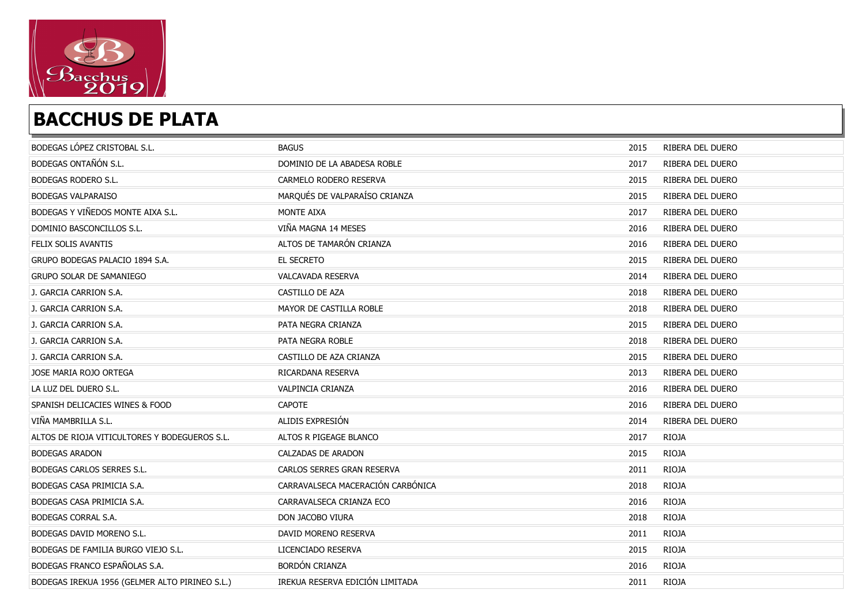

| BODEGAS LÓPEZ CRISTOBAL S.L.                   | <b>BAGUS</b>                      | 2015 | RIBERA DEL DUERO |
|------------------------------------------------|-----------------------------------|------|------------------|
| BODEGAS ONTAÑÓN S.L.                           | DOMINIO DE LA ABADESA ROBLE       | 2017 | RIBERA DEL DUERO |
| <b>BODEGAS RODERO S.L.</b>                     | CARMELO RODERO RESERVA            | 2015 | RIBERA DEL DUERO |
| <b>BODEGAS VALPARAISO</b>                      | MARQUÉS DE VALPARAÍSO CRIANZA     | 2015 | RIBERA DEL DUERO |
| BODEGAS Y VIÑEDOS MONTE AIXA S.L.              | MONTE AIXA                        | 2017 | RIBERA DEL DUERO |
| DOMINIO BASCONCILLOS S.L.                      | VIÑA MAGNA 14 MESES               | 2016 | RIBERA DEL DUERO |
| FELIX SOLIS AVANTIS                            | ALTOS DE TAMARÓN CRIANZA          | 2016 | RIBERA DEL DUERO |
| GRUPO BODEGAS PALACIO 1894 S.A.                | EL SECRETO                        | 2015 | RIBERA DEL DUERO |
| <b>GRUPO SOLAR DE SAMANIEGO</b>                | VALCAVADA RESERVA                 | 2014 | RIBERA DEL DUERO |
| J. GARCIA CARRION S.A.                         | CASTILLO DE AZA                   | 2018 | RIBERA DEL DUERO |
| J. GARCIA CARRION S.A.                         | MAYOR DE CASTILLA ROBLE           | 2018 | RIBERA DEL DUERO |
| J. GARCIA CARRION S.A.                         | PATA NEGRA CRIANZA                | 2015 | RIBERA DEL DUERO |
| J. GARCIA CARRION S.A.                         | PATA NEGRA ROBLE                  | 2018 | RIBERA DEL DUERO |
| J. GARCIA CARRION S.A.                         | CASTILLO DE AZA CRIANZA           | 2015 | RIBERA DEL DUERO |
| JOSE MARIA ROJO ORTEGA                         | RICARDANA RESERVA                 | 2013 | RIBERA DEL DUERO |
| LA LUZ DEL DUERO S.L.                          | VALPINCIA CRIANZA                 | 2016 | RIBERA DEL DUERO |
| SPANISH DELICACIES WINES & FOOD                | <b>CAPOTE</b>                     | 2016 | RIBERA DEL DUERO |
| VIÑA MAMBRILLA S.L.                            | ALIDIS EXPRESIÓN                  | 2014 | RIBERA DEL DUERO |
| ALTOS DE RIOJA VITICULTORES Y BODEGUEROS S.L.  | ALTOS R PIGEAGE BLANCO            | 2017 | <b>RIOJA</b>     |
| <b>BODEGAS ARADON</b>                          | CALZADAS DE ARADON                | 2015 | <b>RIOJA</b>     |
| BODEGAS CARLOS SERRES S.L.                     | CARLOS SERRES GRAN RESERVA        | 2011 | RIOJA            |
| BODEGAS CASA PRIMICIA S.A.                     | CARRAVALSECA MACERACIÓN CARBÓNICA | 2018 | <b>RIOJA</b>     |
| BODEGAS CASA PRIMICIA S.A.                     | CARRAVALSECA CRIANZA ECO          | 2016 | <b>RIOJA</b>     |
| BODEGAS CORRAL S.A.                            | DON JACOBO VIURA                  | 2018 | <b>RIOJA</b>     |
| BODEGAS DAVID MORENO S.L.                      | DAVID MORENO RESERVA              | 2011 | <b>RIOJA</b>     |
| BODEGAS DE FAMILIA BURGO VIEJO S.L.            | LICENCIADO RESERVA                | 2015 | <b>RIOJA</b>     |
| BODEGAS FRANCO ESPAÑOLAS S.A.                  | <b>BORDÓN CRIANZA</b>             | 2016 | <b>RIOJA</b>     |
| BODEGAS IREKUA 1956 (GELMER ALTO PIRINEO S.L.) | IREKUA RESERVA EDICIÓN LIMITADA   | 2011 | <b>RIOJA</b>     |
|                                                |                                   |      |                  |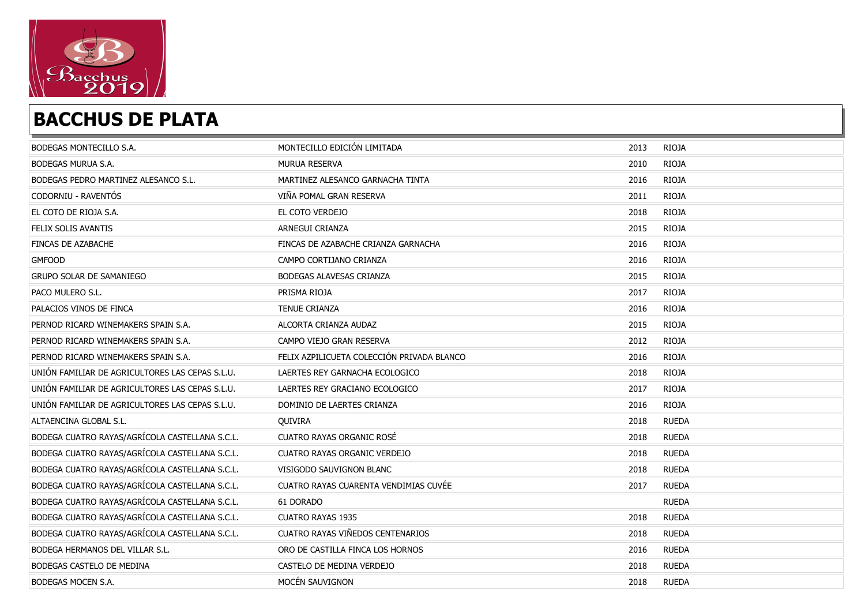

| BODEGAS MONTECILLO S.A.                         | MONTECILLO EDICIÓN LIMITADA                | 2013 | <b>RIOJA</b> |
|-------------------------------------------------|--------------------------------------------|------|--------------|
| BODEGAS MURUA S.A.                              | MURUA RESERVA                              | 2010 | <b>RIOJA</b> |
| BODEGAS PEDRO MARTINEZ ALESANCO S.L.            | MARTINEZ ALESANCO GARNACHA TINTA           | 2016 | <b>RIOJA</b> |
| CODORNIU - RAVENTÓS                             | VIÑA POMAL GRAN RESERVA                    | 2011 | <b>RIOJA</b> |
| EL COTO DE RIOJA S.A.                           | EL COTO VERDEJO                            | 2018 | <b>RIOJA</b> |
| FELIX SOLIS AVANTIS                             | ARNEGUI CRIANZA                            | 2015 | <b>RIOJA</b> |
| FINCAS DE AZABACHE                              | FINCAS DE AZABACHE CRIANZA GARNACHA        | 2016 | <b>RIOJA</b> |
| <b>GMFOOD</b>                                   | CAMPO CORTIJANO CRIANZA                    | 2016 | <b>RIOJA</b> |
| <b>GRUPO SOLAR DE SAMANIEGO</b>                 | BODEGAS ALAVESAS CRIANZA                   | 2015 | <b>RIOJA</b> |
| PACO MULERO S.L.                                | PRISMA RIOJA                               | 2017 | <b>RIOJA</b> |
| PALACIOS VINOS DE FINCA                         | <b>TENUE CRIANZA</b>                       | 2016 | <b>RIOJA</b> |
| PERNOD RICARD WINEMAKERS SPAIN S.A.             | ALCORTA CRIANZA AUDAZ                      | 2015 | <b>RIOJA</b> |
| PERNOD RICARD WINEMAKERS SPAIN S.A.             | CAMPO VIEJO GRAN RESERVA                   | 2012 | <b>RIOJA</b> |
| PERNOD RICARD WINEMAKERS SPAIN S.A.             | FELIX AZPILICUETA COLECCIÓN PRIVADA BLANCO | 2016 | <b>RIOJA</b> |
| UNIÓN FAMILIAR DE AGRICULTORES LAS CEPAS S.L.U. | LAERTES REY GARNACHA ECOLOGICO             | 2018 | <b>RIOJA</b> |
| UNIÓN FAMILIAR DE AGRICULTORES LAS CEPAS S.L.U. | LAERTES REY GRACIANO ECOLOGICO             | 2017 | <b>RIOJA</b> |
| UNIÓN FAMILIAR DE AGRICULTORES LAS CEPAS S.L.U. | DOMINIO DE LAERTES CRIANZA                 | 2016 | <b>RIOJA</b> |
| ALTAENCINA GLOBAL S.L.                          | QUIVIRA                                    | 2018 | <b>RUEDA</b> |
| BODEGA CUATRO RAYAS/AGRÍCOLA CASTELLANA S.C.L.  | CUATRO RAYAS ORGANIC ROSÉ                  | 2018 | <b>RUEDA</b> |
| BODEGA CUATRO RAYAS/AGRÍCOLA CASTELLANA S.C.L.  | <b>CUATRO RAYAS ORGANIC VERDEJO</b>        | 2018 | <b>RUEDA</b> |
| BODEGA CUATRO RAYAS/AGRÍCOLA CASTELLANA S.C.L.  | VISIGODO SAUVIGNON BLANC                   | 2018 | <b>RUEDA</b> |
| BODEGA CUATRO RAYAS/AGRÍCOLA CASTELLANA S.C.L.  | CUATRO RAYAS CUARENTA VENDIMIAS CUVÉE      | 2017 | <b>RUEDA</b> |
| BODEGA CUATRO RAYAS/AGRÍCOLA CASTELLANA S.C.L.  | 61 DORADO                                  |      | <b>RUEDA</b> |
| BODEGA CUATRO RAYAS/AGRÍCOLA CASTELLANA S.C.L.  | <b>CUATRO RAYAS 1935</b>                   | 2018 | <b>RUEDA</b> |
| BODEGA CUATRO RAYAS/AGRÍCOLA CASTELLANA S.C.L.  | CUATRO RAYAS VIÑEDOS CENTENARIOS           | 2018 | <b>RUEDA</b> |
| BODEGA HERMANOS DEL VILLAR S.L.                 | ORO DE CASTILLA FINCA LOS HORNOS           | 2016 | <b>RUEDA</b> |
| BODEGAS CASTELO DE MEDINA                       | CASTELO DE MEDINA VERDEJO                  | 2018 | <b>RUEDA</b> |
| BODEGAS MOCEN S.A.                              | MOCÉN SAUVIGNON                            | 2018 | <b>RUEDA</b> |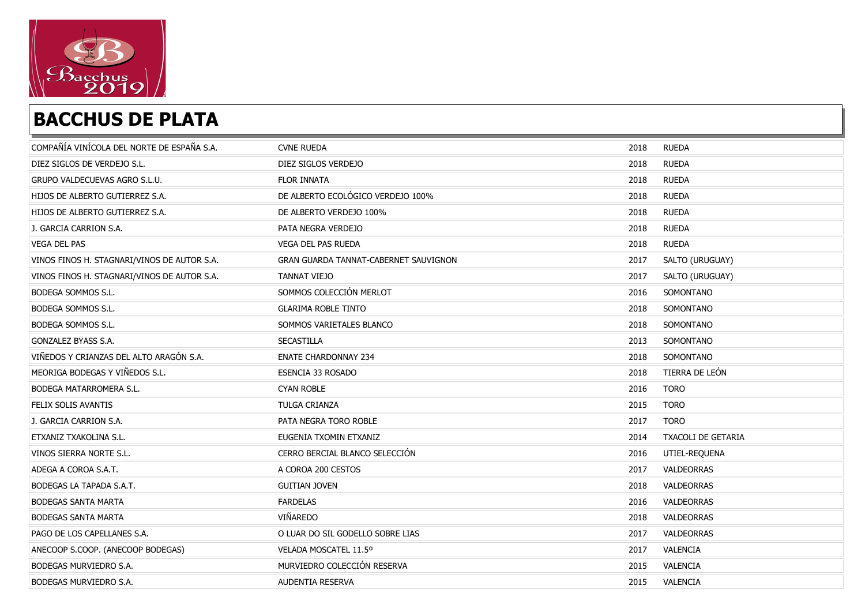

| COMPAÑÍA VINÍCOLA DEL NORTE DE ESPAÑA S.A.  | <b>CVNE RUEDA</b>                     | 2018 | <b>RUEDA</b>       |
|---------------------------------------------|---------------------------------------|------|--------------------|
| DIEZ SIGLOS DE VERDEJO S.L.                 | DIEZ SIGLOS VERDEJO                   | 2018 | <b>RUEDA</b>       |
| GRUPO VALDECUEVAS AGRO S.L.U.               | FLOR INNATA                           | 2018 | <b>RUEDA</b>       |
| HIJOS DE ALBERTO GUTIERREZ S.A.             | DE ALBERTO ECOLÓGICO VERDEJO 100%     | 2018 | <b>RUEDA</b>       |
| HIJOS DE ALBERTO GUTIERREZ S.A.             | DE ALBERTO VERDEJO 100%               | 2018 | <b>RUEDA</b>       |
| J. GARCIA CARRION S.A.                      | PATA NEGRA VERDEJO                    | 2018 | <b>RUEDA</b>       |
| <b>VEGA DEL PAS</b>                         | <b>VEGA DEL PAS RUEDA</b>             | 2018 | <b>RUEDA</b>       |
| VINOS FINOS H. STAGNARI/VINOS DE AUTOR S.A. | GRAN GUARDA TANNAT-CABERNET SAUVIGNON | 2017 | SALTO (URUGUAY)    |
| VINOS FINOS H. STAGNARI/VINOS DE AUTOR S.A. | TANNAT VIEJO                          | 2017 | SALTO (URUGUAY)    |
| BODEGA SOMMOS S.L.                          | SOMMOS COLECCIÓN MERLOT               | 2016 | SOMONTANO          |
| BODEGA SOMMOS S.L.                          | <b>GLARIMA ROBLE TINTO</b>            | 2018 | SOMONTANO          |
| BODEGA SOMMOS S.L.                          | SOMMOS VARIETALES BLANCO              | 2018 | SOMONTANO          |
| GONZALEZ BYASS S.A.                         | SECASTILLA                            | 2013 | SOMONTANO          |
| VIÑEDOS Y CRIANZAS DEL ALTO ARAGÓN S.A.     | <b>ENATE CHARDONNAY 234</b>           | 2018 | SOMONTANO          |
| MEORIGA BODEGAS Y VIÑEDOS S.L.              | ESENCIA 33 ROSADO                     | 2018 | TIERRA DE LEÓN     |
| BODEGA MATARROMERA S.L.                     | <b>CYAN ROBLE</b>                     | 2016 | <b>TORO</b>        |
| FELIX SOLIS AVANTIS                         | TULGA CRIANZA                         | 2015 | <b>TORO</b>        |
| J. GARCIA CARRION S.A.                      | PATA NEGRA TORO ROBLE                 | 2017 | <b>TORO</b>        |
| ETXANIZ TXAKOLINA S.L.                      | EUGENIA TXOMIN ETXANIZ                | 2014 | TXACOLI DE GETARIA |
| VINOS SIERRA NORTE S.L.                     | CERRO BERCIAL BLANCO SELECCIÓN        | 2016 | UTIEL-REQUENA      |
| ADEGA A COROA S.A.T.                        | A COROA 200 CESTOS                    | 2017 | VALDEORRAS         |
| BODEGAS LA TAPADA S.A.T.                    | <b>GUITIAN JOVEN</b>                  | 2018 | VALDEORRAS         |
| <b>BODEGAS SANTA MARTA</b>                  | <b>FARDELAS</b>                       | 2016 | VALDEORRAS         |
| <b>BODEGAS SANTA MARTA</b>                  | VIÑAREDO                              | 2018 | VALDEORRAS         |
| PAGO DE LOS CAPELLANES S.A.                 | O LUAR DO SIL GODELLO SOBRE LIAS      | 2017 | VALDEORRAS         |
| ANECOOP S.COOP. (ANECOOP BODEGAS)           | VELADA MOSCATEL 11.5°                 | 2017 | VALENCIA           |
| BODEGAS MURVIEDRO S.A.                      | MURVIEDRO COLECCIÓN RESERVA           | 2015 | VALENCIA           |
| BODEGAS MURVIEDRO S.A.                      | AUDENTIA RESERVA                      | 2015 | VALENCIA           |
|                                             |                                       |      |                    |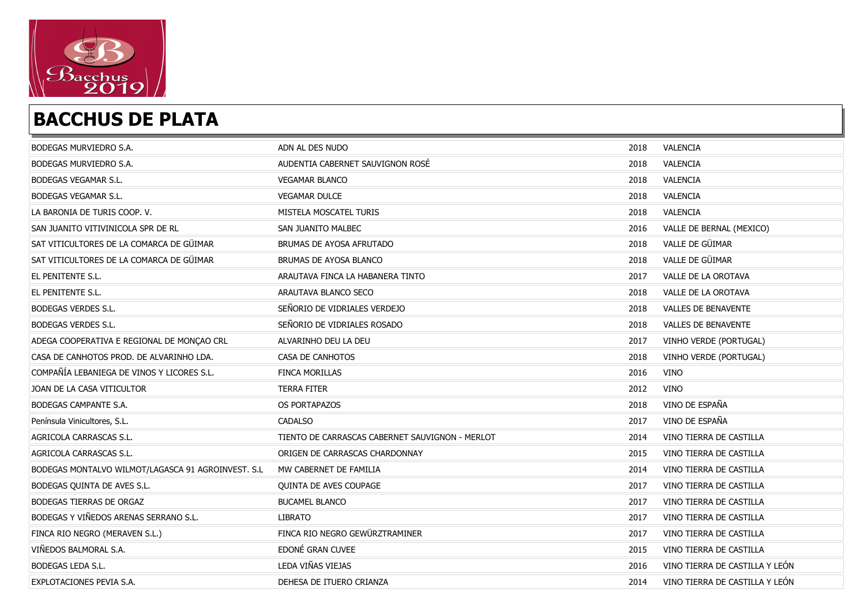

| BODEGAS MURVIEDRO S.A.                             | ADN AL DES NUDO                                 | 2018 | VALENCIA                       |
|----------------------------------------------------|-------------------------------------------------|------|--------------------------------|
| BODEGAS MURVIEDRO S.A.                             | AUDENTIA CABERNET SAUVIGNON ROSÉ                | 2018 | VALENCIA                       |
| <b>BODEGAS VEGAMAR S.L.</b>                        | <b>VEGAMAR BLANCO</b>                           | 2018 | VALENCIA                       |
| BODEGAS VEGAMAR S.L.                               | <b>VEGAMAR DULCE</b>                            | 2018 | VALENCIA                       |
| LA BARONIA DE TURIS COOP. V.                       | MISTELA MOSCATEL TURIS                          | 2018 | VALENCIA                       |
| SAN JUANITO VITIVINICOLA SPR DE RL                 | SAN JUANITO MALBEC                              | 2016 | VALLE DE BERNAL (MEXICO)       |
| SAT VITICULTORES DE LA COMARCA DE GÜIMAR           | BRUMAS DE AYOSA AFRUTADO                        | 2018 | VALLE DE GÜIMAR                |
| SAT VITICULTORES DE LA COMARCA DE GÜIMAR           | BRUMAS DE AYOSA BLANCO                          | 2018 | VALLE DE GÜIMAR                |
| EL PENITENTE S.L.                                  | ARAUTAVA FINCA LA HABANERA TINTO                | 2017 | VALLE DE LA OROTAVA            |
| EL PENITENTE S.L.                                  | ARAUTAVA BLANCO SECO                            | 2018 | VALLE DE LA OROTAVA            |
| <b>BODEGAS VERDES S.L.</b>                         | SEÑORIO DE VIDRIALES VERDEJO                    | 2018 | VALLES DE BENAVENTE            |
| <b>BODEGAS VERDES S.L.</b>                         | SEÑORIO DE VIDRIALES ROSADO                     | 2018 | <b>VALLES DE BENAVENTE</b>     |
| ADEGA COOPERATIVA E REGIONAL DE MONÇAO CRL         | ALVARINHO DEU LA DEU                            | 2017 | VINHO VERDE (PORTUGAL)         |
| CASA DE CANHOTOS PROD. DE ALVARINHO LDA.           | CASA DE CANHOTOS                                | 2018 | VINHO VERDE (PORTUGAL)         |
| COMPAÑÍA LEBANIEGA DE VINOS Y LICORES S.L.         | <b>FINCA MORILLAS</b>                           | 2016 | <b>VINO</b>                    |
| JOAN DE LA CASA VITICULTOR                         | <b>TERRA FITER</b>                              | 2012 | <b>VINO</b>                    |
| BODEGAS CAMPANTE S.A.                              | OS PORTAPAZOS                                   | 2018 | VINO DE ESPAÑA                 |
| Península Vinicultores, S.L.                       | CADALSO                                         | 2017 | VINO DE ESPAÑA                 |
| AGRICOLA CARRASCAS S.L.                            | TIENTO DE CARRASCAS CABERNET SAUVIGNON - MERLOT | 2014 | VINO TIERRA DE CASTILLA        |
| AGRICOLA CARRASCAS S.L.                            | ORIGEN DE CARRASCAS CHARDONNAY                  | 2015 | VINO TIERRA DE CASTILLA        |
| BODEGAS MONTALVO WILMOT/LAGASCA 91 AGROINVEST. S.L | MW CABERNET DE FAMILIA                          | 2014 | VINO TIERRA DE CASTILLA        |
| BODEGAS QUINTA DE AVES S.L.                        | QUINTA DE AVES COUPAGE                          | 2017 | VINO TIERRA DE CASTILLA        |
| <b>BODEGAS TIERRAS DE ORGAZ</b>                    | <b>BUCAMEL BLANCO</b>                           | 2017 | VINO TIERRA DE CASTILLA        |
| BODEGAS Y VIÑEDOS ARENAS SERRANO S.L.              | <b>LIBRATO</b>                                  | 2017 | VINO TIERRA DE CASTILLA        |
| FINCA RIO NEGRO (MERAVEN S.L.)                     | FINCA RIO NEGRO GEWÜRZTRAMINER                  | 2017 | VINO TIERRA DE CASTILLA        |
| VIÑEDOS BALMORAL S.A.                              | EDONÉ GRAN CUVEE                                | 2015 | VINO TIERRA DE CASTILLA        |
| <b>BODEGAS LEDA S.L.</b>                           | LEDA VIÑAS VIEJAS                               | 2016 | VINO TIERRA DE CASTILLA Y LEÓN |
| EXPLOTACIONES PEVIA S.A.                           | DEHESA DE ITUERO CRIANZA                        | 2014 | VINO TIERRA DE CASTILLA Y LEÓN |